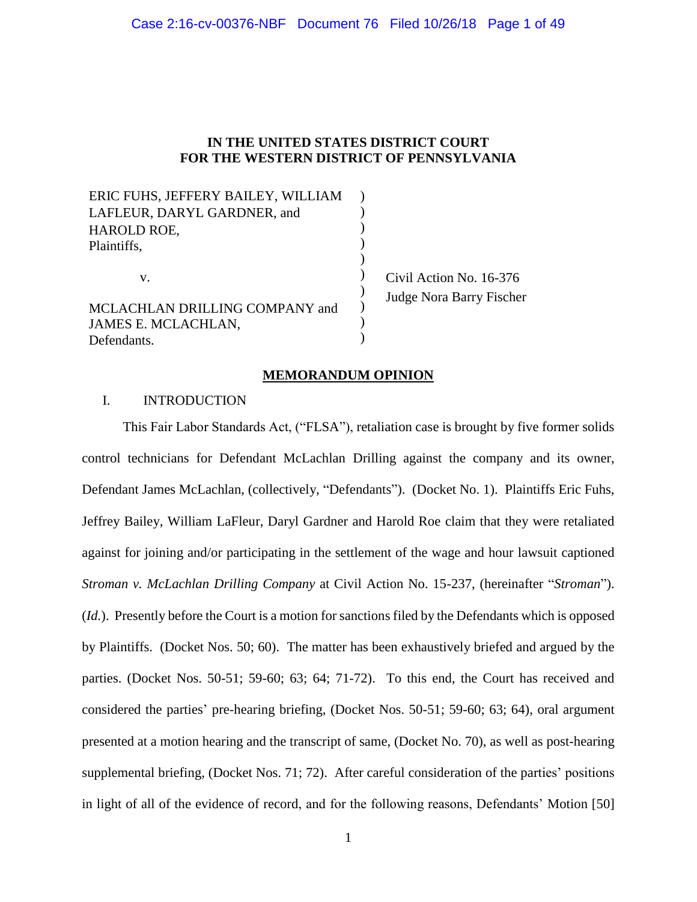### Case 2:16-cv-00376-NBF Document 76 Filed 10/26/18 Page 1 of 49

## **IN THE UNITED STATES DISTRICT COURT FOR THE WESTERN DISTRICT OF PENNSYLVANIA**

| ERIC FUHS, JEFFERY BAILEY, WILLIAM |                          |
|------------------------------------|--------------------------|
| LAFLEUR, DARYL GARDNER, and        |                          |
| HAROLD ROE,                        |                          |
| Plaintiffs,                        |                          |
|                                    |                          |
| V.                                 | Civil Action No. 16-376  |
| MCLACHLAN DRILLING COMPANY and     | Judge Nora Barry Fischer |
| JAMES E. MCLACHLAN,                |                          |
| Defendants.                        |                          |

### **MEMORANDUM OPINION**

### I. INTRODUCTION

This Fair Labor Standards Act, ("FLSA"), retaliation case is brought by five former solids control technicians for Defendant McLachlan Drilling against the company and its owner, Defendant James McLachlan, (collectively, "Defendants"). (Docket No. 1). Plaintiffs Eric Fuhs, Jeffrey Bailey, William LaFleur, Daryl Gardner and Harold Roe claim that they were retaliated against for joining and/or participating in the settlement of the wage and hour lawsuit captioned *Stroman v. McLachlan Drilling Company* at Civil Action No. 15-237, (hereinafter "*Stroman*"). (*Id.*). Presently before the Court is a motion for sanctions filed by the Defendants which is opposed by Plaintiffs. (Docket Nos. 50; 60). The matter has been exhaustively briefed and argued by the parties. (Docket Nos. 50-51; 59-60; 63; 64; 71-72). To this end, the Court has received and considered the parties' pre-hearing briefing, (Docket Nos. 50-51; 59-60; 63; 64), oral argument presented at a motion hearing and the transcript of same, (Docket No. 70), as well as post-hearing supplemental briefing, (Docket Nos. 71; 72). After careful consideration of the parties' positions in light of all of the evidence of record, and for the following reasons, Defendants' Motion [50]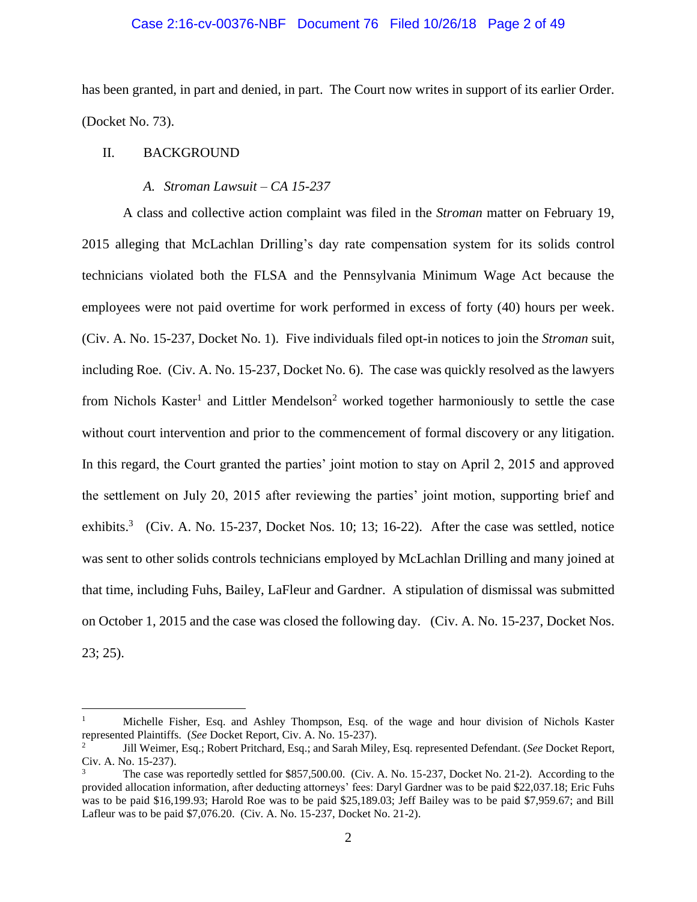### Case 2:16-cv-00376-NBF Document 76 Filed 10/26/18 Page 2 of 49

has been granted, in part and denied, in part. The Court now writes in support of its earlier Order. (Docket No. 73).

## II. BACKGROUND

 $\overline{a}$ 

### *A. Stroman Lawsuit – CA 15-237*

A class and collective action complaint was filed in the *Stroman* matter on February 19, 2015 alleging that McLachlan Drilling's day rate compensation system for its solids control technicians violated both the FLSA and the Pennsylvania Minimum Wage Act because the employees were not paid overtime for work performed in excess of forty (40) hours per week. (Civ. A. No. 15-237, Docket No. 1). Five individuals filed opt-in notices to join the *Stroman* suit, including Roe. (Civ. A. No. 15-237, Docket No. 6). The case was quickly resolved as the lawyers from Nichols Kaster<sup>1</sup> and Littler Mendelson<sup>2</sup> worked together harmoniously to settle the case without court intervention and prior to the commencement of formal discovery or any litigation. In this regard, the Court granted the parties' joint motion to stay on April 2, 2015 and approved the settlement on July 20, 2015 after reviewing the parties' joint motion, supporting brief and exhibits.<sup>3</sup> (Civ. A. No. 15-237, Docket Nos. 10; 13; 16-22). After the case was settled, notice was sent to other solids controls technicians employed by McLachlan Drilling and many joined at that time, including Fuhs, Bailey, LaFleur and Gardner. A stipulation of dismissal was submitted on October 1, 2015 and the case was closed the following day. (Civ. A. No. 15-237, Docket Nos. 23; 25).

<sup>1</sup> Michelle Fisher, Esq. and Ashley Thompson, Esq. of the wage and hour division of Nichols Kaster represented Plaintiffs. (*See* Docket Report, Civ. A. No. 15-237).

<sup>2</sup> Jill Weimer, Esq.; Robert Pritchard, Esq.; and Sarah Miley, Esq. represented Defendant. (*See* Docket Report, Civ. A. No. 15-237).

The case was reportedly settled for \$857,500.00. (Civ. A. No. 15-237, Docket No. 21-2). According to the provided allocation information, after deducting attorneys' fees: Daryl Gardner was to be paid \$22,037.18; Eric Fuhs was to be paid \$16,199.93; Harold Roe was to be paid \$25,189.03; Jeff Bailey was to be paid \$7,959.67; and Bill Lafleur was to be paid \$7,076.20. (Civ. A. No. 15-237, Docket No. 21-2).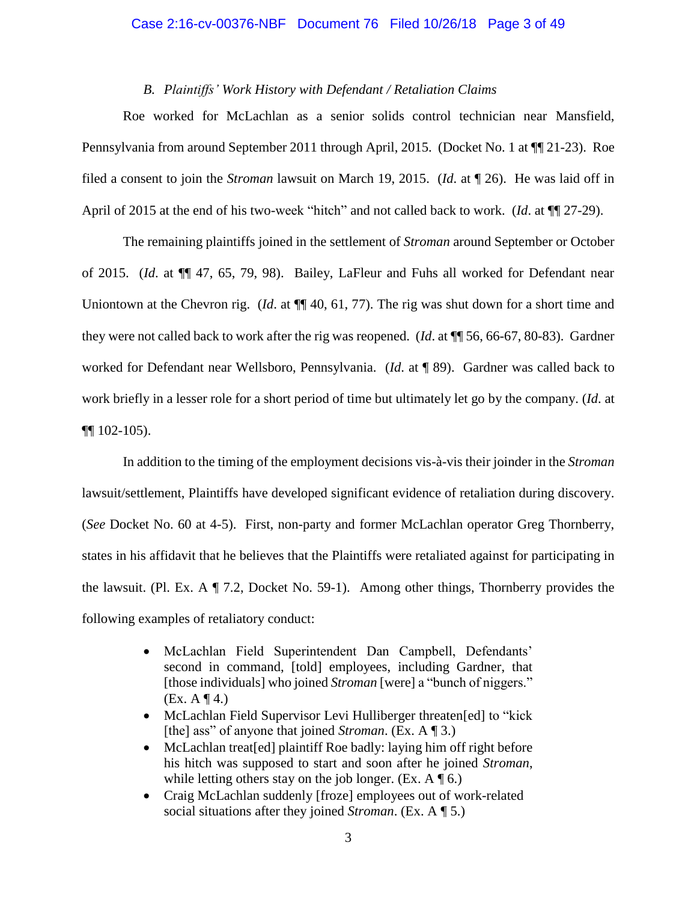#### Case 2:16-cv-00376-NBF Document 76 Filed 10/26/18 Page 3 of 49

## *B. Plaintiffs' Work History with Defendant / Retaliation Claims*

Roe worked for McLachlan as a senior solids control technician near Mansfield, Pennsylvania from around September 2011 through April, 2015. (Docket No. 1 at ¶¶ 21-23). Roe filed a consent to join the *Stroman* lawsuit on March 19, 2015. (*Id*. at ¶ 26). He was laid off in April of 2015 at the end of his two-week "hitch" and not called back to work. (*Id*. at ¶¶ 27-29).

The remaining plaintiffs joined in the settlement of *Stroman* around September or October of 2015. (*Id*. at ¶¶ 47, 65, 79, 98). Bailey, LaFleur and Fuhs all worked for Defendant near Uniontown at the Chevron rig. (*Id*. at ¶¶ 40, 61, 77). The rig was shut down for a short time and they were not called back to work after the rig was reopened. (*Id*. at ¶¶ 56, 66-67, 80-83). Gardner worked for Defendant near Wellsboro, Pennsylvania. (*Id*. at ¶ 89). Gardner was called back to work briefly in a lesser role for a short period of time but ultimately let go by the company. (*Id*. at ¶¶ 102-105).

In addition to the timing of the employment decisions vis-à-vis their joinder in the *Stroman*  lawsuit/settlement, Plaintiffs have developed significant evidence of retaliation during discovery. (*See* Docket No. 60 at 4-5). First, non-party and former McLachlan operator Greg Thornberry, states in his affidavit that he believes that the Plaintiffs were retaliated against for participating in the lawsuit. (Pl. Ex. A ¶ 7.2, Docket No. 59-1). Among other things, Thornberry provides the following examples of retaliatory conduct:

- McLachlan Field Superintendent Dan Campbell, Defendants' second in command, [told] employees, including Gardner, that [those individuals] who joined *Stroman* [were] a "bunch of niggers."  $(EX. A \P 4.)$
- McLachlan Field Supervisor Levi Hulliberger threaten[ed] to "kick" [the] ass" of anyone that joined *Stroman*. (Ex. A ¶ 3.)
- McLachlan treat [ed] plaintiff Roe badly: laying him off right before his hitch was supposed to start and soon after he joined *Stroman*, while letting others stay on the job longer. (Ex.  $A \P 6$ .)
- Craig McLachlan suddenly [froze] employees out of work-related social situations after they joined *Stroman*. (Ex. A ¶ 5.)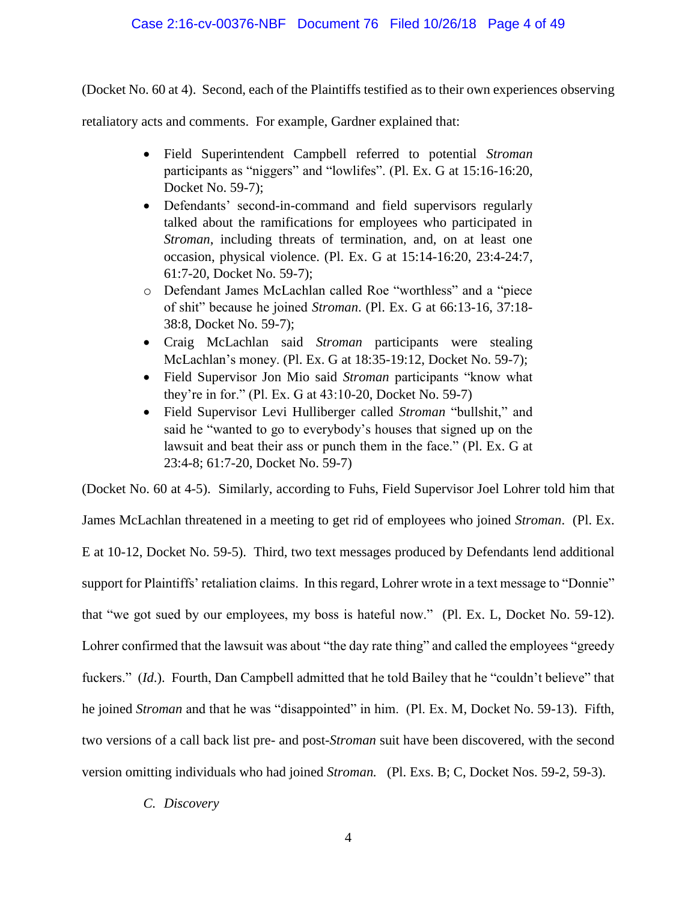## Case 2:16-cv-00376-NBF Document 76 Filed 10/26/18 Page 4 of 49

(Docket No. 60 at 4). Second, each of the Plaintiffs testified as to their own experiences observing

retaliatory acts and comments. For example, Gardner explained that:

- Field Superintendent Campbell referred to potential *Stroman* participants as "niggers" and "lowlifes". (Pl. Ex. G at 15:16-16:20, Docket No. 59-7);
- Defendants' second-in-command and field supervisors regularly talked about the ramifications for employees who participated in *Stroman*, including threats of termination, and, on at least one occasion, physical violence. (Pl. Ex. G at 15:14-16:20, 23:4-24:7, 61:7-20, Docket No. 59-7);
- o Defendant James McLachlan called Roe "worthless" and a "piece of shit" because he joined *Stroman*. (Pl. Ex. G at 66:13-16, 37:18- 38:8, Docket No. 59-7);
- Craig McLachlan said *Stroman* participants were stealing McLachlan's money. (Pl. Ex. G at 18:35-19:12, Docket No. 59-7);
- Field Supervisor Jon Mio said *Stroman* participants "know what they're in for." (Pl. Ex. G at 43:10-20, Docket No. 59-7)
- Field Supervisor Levi Hulliberger called *Stroman* "bullshit," and said he "wanted to go to everybody's houses that signed up on the lawsuit and beat their ass or punch them in the face." (Pl. Ex. G at 23:4-8; 61:7-20, Docket No. 59-7)

(Docket No. 60 at 4-5). Similarly, according to Fuhs, Field Supervisor Joel Lohrer told him that

James McLachlan threatened in a meeting to get rid of employees who joined *Stroman*. (Pl. Ex. E at 10-12, Docket No. 59-5). Third, two text messages produced by Defendants lend additional support for Plaintiffs' retaliation claims. In this regard, Lohrer wrote in a text message to "Donnie" that "we got sued by our employees, my boss is hateful now." (Pl. Ex. L, Docket No. 59-12). Lohrer confirmed that the lawsuit was about "the day rate thing" and called the employees "greedy fuckers." *(Id.)*. Fourth, Dan Campbell admitted that he told Bailey that he "couldn't believe" that he joined *Stroman* and that he was "disappointed" in him. (Pl. Ex. M, Docket No. 59-13). Fifth, two versions of a call back list pre- and post-*Stroman* suit have been discovered, with the second version omitting individuals who had joined *Stroman.* (Pl. Exs. B; C, Docket Nos. 59-2, 59-3).

*C. Discovery*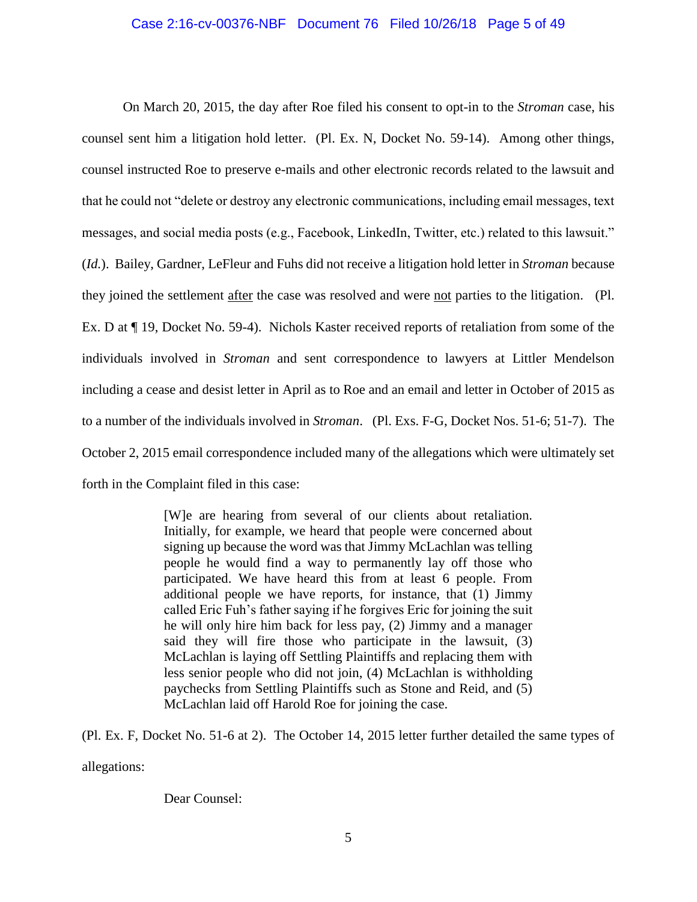### Case 2:16-cv-00376-NBF Document 76 Filed 10/26/18 Page 5 of 49

On March 20, 2015, the day after Roe filed his consent to opt-in to the *Stroman* case, his counsel sent him a litigation hold letter. (Pl. Ex. N, Docket No. 59-14). Among other things, counsel instructed Roe to preserve e-mails and other electronic records related to the lawsuit and that he could not "delete or destroy any electronic communications, including email messages, text messages, and social media posts (e.g., Facebook, LinkedIn, Twitter, etc.) related to this lawsuit." (*Id.*). Bailey, Gardner, LeFleur and Fuhs did not receive a litigation hold letter in *Stroman* because they joined the settlement after the case was resolved and were not parties to the litigation. (Pl. Ex. D at ¶ 19, Docket No. 59-4). Nichols Kaster received reports of retaliation from some of the individuals involved in *Stroman* and sent correspondence to lawyers at Littler Mendelson including a cease and desist letter in April as to Roe and an email and letter in October of 2015 as to a number of the individuals involved in *Stroman*. (Pl. Exs. F-G, Docket Nos. 51-6; 51-7). The October 2, 2015 email correspondence included many of the allegations which were ultimately set forth in the Complaint filed in this case:

> [W]e are hearing from several of our clients about retaliation. Initially, for example, we heard that people were concerned about signing up because the word was that Jimmy McLachlan was telling people he would find a way to permanently lay off those who participated. We have heard this from at least 6 people. From additional people we have reports, for instance, that (1) Jimmy called Eric Fuh's father saying if he forgives Eric for joining the suit he will only hire him back for less pay, (2) Jimmy and a manager said they will fire those who participate in the lawsuit, (3) McLachlan is laying off Settling Plaintiffs and replacing them with less senior people who did not join, (4) McLachlan is withholding paychecks from Settling Plaintiffs such as Stone and Reid, and (5) McLachlan laid off Harold Roe for joining the case.

(Pl. Ex. F, Docket No. 51-6 at 2). The October 14, 2015 letter further detailed the same types of allegations:

Dear Counsel: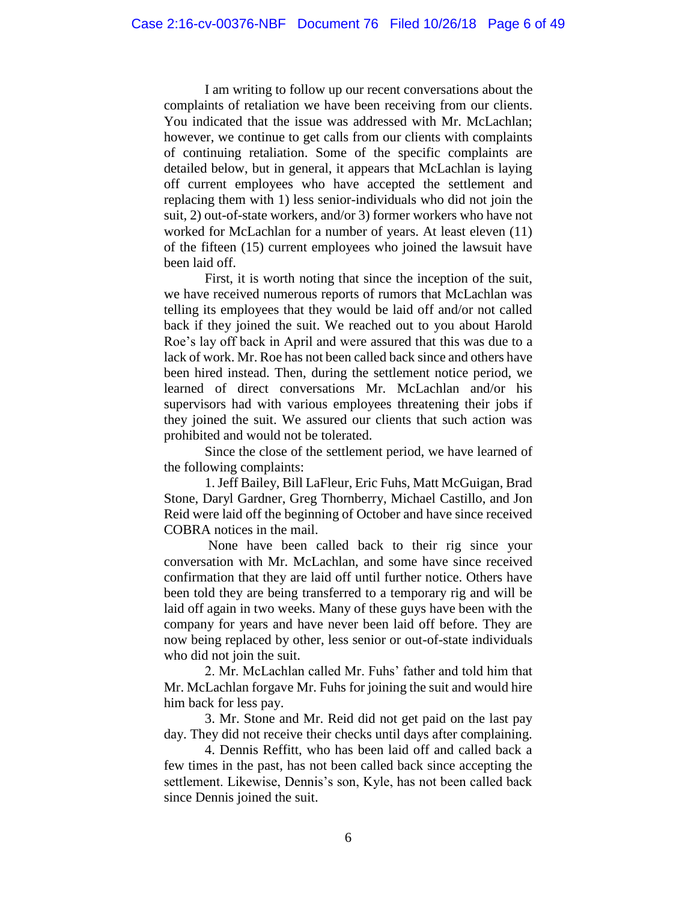I am writing to follow up our recent conversations about the complaints of retaliation we have been receiving from our clients. You indicated that the issue was addressed with Mr. McLachlan; however, we continue to get calls from our clients with complaints of continuing retaliation. Some of the specific complaints are detailed below, but in general, it appears that McLachlan is laying off current employees who have accepted the settlement and replacing them with 1) less senior-individuals who did not join the suit, 2) out-of-state workers, and/or 3) former workers who have not worked for McLachlan for a number of years. At least eleven (11) of the fifteen (15) current employees who joined the lawsuit have been laid off.

First, it is worth noting that since the inception of the suit, we have received numerous reports of rumors that McLachlan was telling its employees that they would be laid off and/or not called back if they joined the suit. We reached out to you about Harold Roe's lay off back in April and were assured that this was due to a lack of work. Mr. Roe has not been called back since and others have been hired instead. Then, during the settlement notice period, we learned of direct conversations Mr. McLachlan and/or his supervisors had with various employees threatening their jobs if they joined the suit. We assured our clients that such action was prohibited and would not be tolerated.

Since the close of the settlement period, we have learned of the following complaints:

1. Jeff Bailey, Bill LaFleur, Eric Fuhs, Matt McGuigan, Brad Stone, Daryl Gardner, Greg Thornberry, Michael Castillo, and Jon Reid were laid off the beginning of October and have since received COBRA notices in the mail.

None have been called back to their rig since your conversation with Mr. McLachlan, and some have since received confirmation that they are laid off until further notice. Others have been told they are being transferred to a temporary rig and will be laid off again in two weeks. Many of these guys have been with the company for years and have never been laid off before. They are now being replaced by other, less senior or out-of-state individuals who did not join the suit.

2. Mr. McLachlan called Mr. Fuhs' father and told him that Mr. McLachlan forgave Mr. Fuhs for joining the suit and would hire him back for less pay.

3. Mr. Stone and Mr. Reid did not get paid on the last pay day. They did not receive their checks until days after complaining.

4. Dennis Reffitt, who has been laid off and called back a few times in the past, has not been called back since accepting the settlement. Likewise, Dennis's son, Kyle, has not been called back since Dennis joined the suit.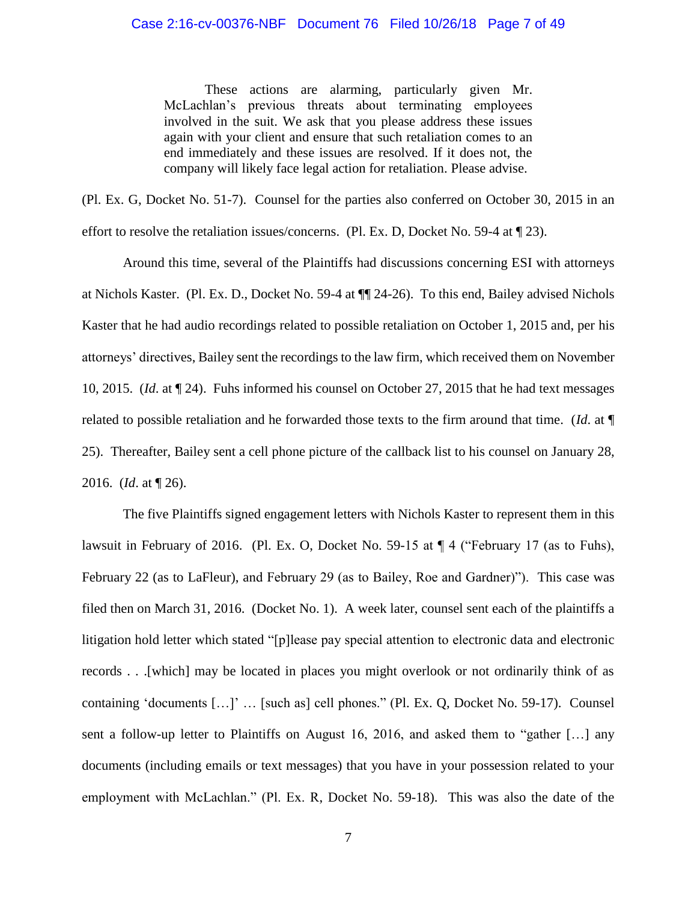### Case 2:16-cv-00376-NBF Document 76 Filed 10/26/18 Page 7 of 49

These actions are alarming, particularly given Mr. McLachlan's previous threats about terminating employees involved in the suit. We ask that you please address these issues again with your client and ensure that such retaliation comes to an end immediately and these issues are resolved. If it does not, the company will likely face legal action for retaliation. Please advise.

(Pl. Ex. G, Docket No. 51-7). Counsel for the parties also conferred on October 30, 2015 in an effort to resolve the retaliation issues/concerns. (Pl. Ex. D, Docket No. 59-4 at ¶ 23).

Around this time, several of the Plaintiffs had discussions concerning ESI with attorneys at Nichols Kaster. (Pl. Ex. D., Docket No. 59-4 at ¶¶ 24-26). To this end, Bailey advised Nichols Kaster that he had audio recordings related to possible retaliation on October 1, 2015 and, per his attorneys' directives, Bailey sent the recordings to the law firm, which received them on November 10, 2015. (*Id*. at ¶ 24). Fuhs informed his counsel on October 27, 2015 that he had text messages related to possible retaliation and he forwarded those texts to the firm around that time. (*Id*. at ¶ 25). Thereafter, Bailey sent a cell phone picture of the callback list to his counsel on January 28, 2016. (*Id*. at ¶ 26).

The five Plaintiffs signed engagement letters with Nichols Kaster to represent them in this lawsuit in February of 2016. (Pl. Ex. O, Docket No. 59-15 at ¶ 4 ("February 17 (as to Fuhs), February 22 (as to LaFleur), and February 29 (as to Bailey, Roe and Gardner)"). This case was filed then on March 31, 2016. (Docket No. 1). A week later, counsel sent each of the plaintiffs a litigation hold letter which stated "[p]lease pay special attention to electronic data and electronic records . . .[which] may be located in places you might overlook or not ordinarily think of as containing 'documents […]' … [such as] cell phones." (Pl. Ex. Q, Docket No. 59-17). Counsel sent a follow-up letter to Plaintiffs on August 16, 2016, and asked them to "gather […] any documents (including emails or text messages) that you have in your possession related to your employment with McLachlan." (Pl. Ex. R, Docket No. 59-18). This was also the date of the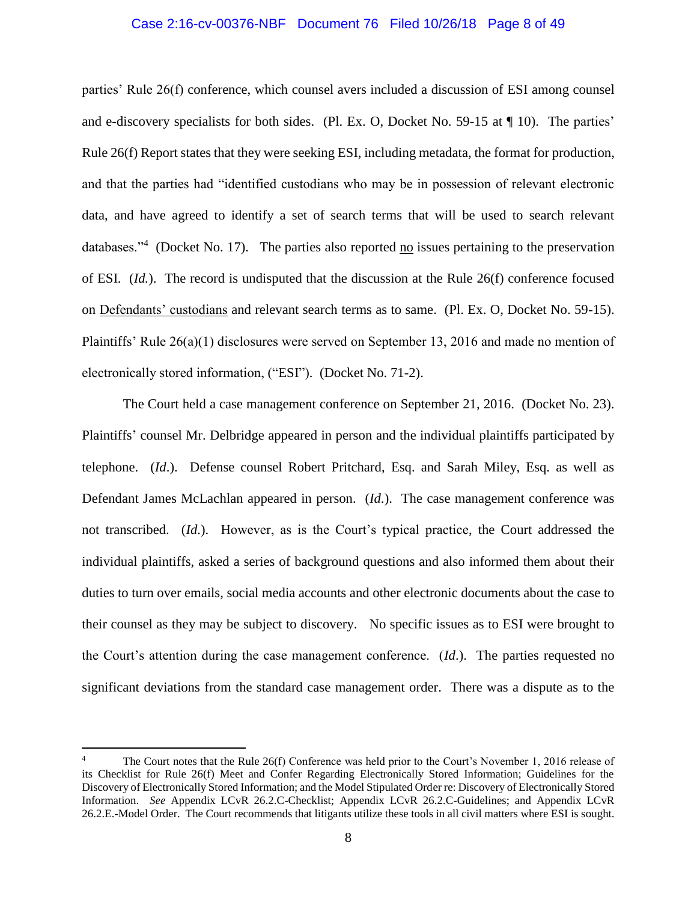#### Case 2:16-cv-00376-NBF Document 76 Filed 10/26/18 Page 8 of 49

parties' Rule 26(f) conference, which counsel avers included a discussion of ESI among counsel and e-discovery specialists for both sides. (Pl. Ex. O, Docket No. 59-15 at ¶ 10). The parties' Rule 26(f) Report states that they were seeking ESI, including metadata, the format for production, and that the parties had "identified custodians who may be in possession of relevant electronic data, and have agreed to identify a set of search terms that will be used to search relevant databases."<sup>4</sup> (Docket No. 17). The parties also reported  $\underline{no}$  issues pertaining to the preservation of ESI. (*Id.*). The record is undisputed that the discussion at the Rule 26(f) conference focused on Defendants' custodians and relevant search terms as to same. (Pl. Ex. O, Docket No. 59-15). Plaintiffs' Rule 26(a)(1) disclosures were served on September 13, 2016 and made no mention of electronically stored information, ("ESI"). (Docket No. 71-2).

The Court held a case management conference on September 21, 2016. (Docket No. 23). Plaintiffs' counsel Mr. Delbridge appeared in person and the individual plaintiffs participated by telephone. (*Id*.). Defense counsel Robert Pritchard, Esq. and Sarah Miley, Esq. as well as Defendant James McLachlan appeared in person. (*Id*.). The case management conference was not transcribed. (*Id*.). However, as is the Court's typical practice, the Court addressed the individual plaintiffs, asked a series of background questions and also informed them about their duties to turn over emails, social media accounts and other electronic documents about the case to their counsel as they may be subject to discovery. No specific issues as to ESI were brought to the Court's attention during the case management conference. (*Id*.). The parties requested no significant deviations from the standard case management order. There was a dispute as to the

The Court notes that the Rule 26(f) Conference was held prior to the Court's November 1, 2016 release of its Checklist for Rule 26(f) Meet and Confer Regarding Electronically Stored Information; Guidelines for the Discovery of Electronically Stored Information; and the Model Stipulated Order re: Discovery of Electronically Stored Information. *See* Appendix LCvR 26.2.C-Checklist; Appendix LCvR 26.2.C-Guidelines; and Appendix LCvR 26.2.E.-Model Order. The Court recommends that litigants utilize these tools in all civil matters where ESI is sought.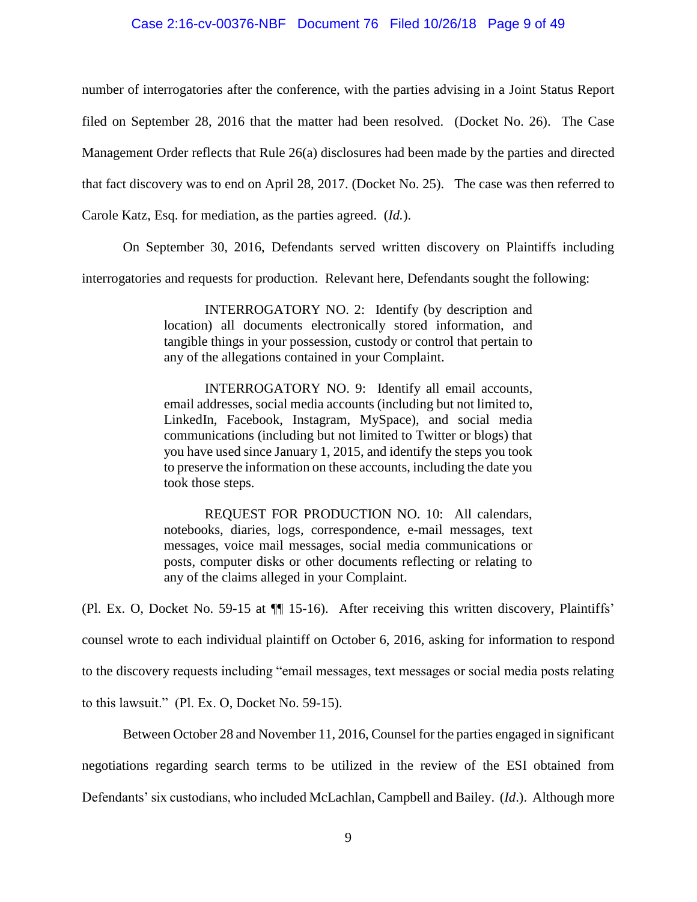### Case 2:16-cv-00376-NBF Document 76 Filed 10/26/18 Page 9 of 49

number of interrogatories after the conference, with the parties advising in a Joint Status Report filed on September 28, 2016 that the matter had been resolved. (Docket No. 26). The Case

Management Order reflects that Rule 26(a) disclosures had been made by the parties and directed

that fact discovery was to end on April 28, 2017. (Docket No. 25). The case was then referred to

Carole Katz, Esq. for mediation, as the parties agreed. (*Id.*).

On September 30, 2016, Defendants served written discovery on Plaintiffs including

interrogatories and requests for production. Relevant here, Defendants sought the following:

INTERROGATORY NO. 2: Identify (by description and location) all documents electronically stored information, and tangible things in your possession, custody or control that pertain to any of the allegations contained in your Complaint.

INTERROGATORY NO. 9: Identify all email accounts, email addresses, social media accounts (including but not limited to, LinkedIn, Facebook, Instagram, MySpace), and social media communications (including but not limited to Twitter or blogs) that you have used since January 1, 2015, and identify the steps you took to preserve the information on these accounts, including the date you took those steps.

REQUEST FOR PRODUCTION NO. 10: All calendars, notebooks, diaries, logs, correspondence, e-mail messages, text messages, voice mail messages, social media communications or posts, computer disks or other documents reflecting or relating to any of the claims alleged in your Complaint.

(Pl. Ex. O, Docket No. 59-15 at ¶¶ 15-16). After receiving this written discovery, Plaintiffs'

counsel wrote to each individual plaintiff on October 6, 2016, asking for information to respond

to the discovery requests including "email messages, text messages or social media posts relating

to this lawsuit." (Pl. Ex. O, Docket No. 59-15).

Between October 28 and November 11, 2016, Counsel for the parties engaged in significant negotiations regarding search terms to be utilized in the review of the ESI obtained from Defendants' six custodians, who included McLachlan, Campbell and Bailey. (*Id*.). Although more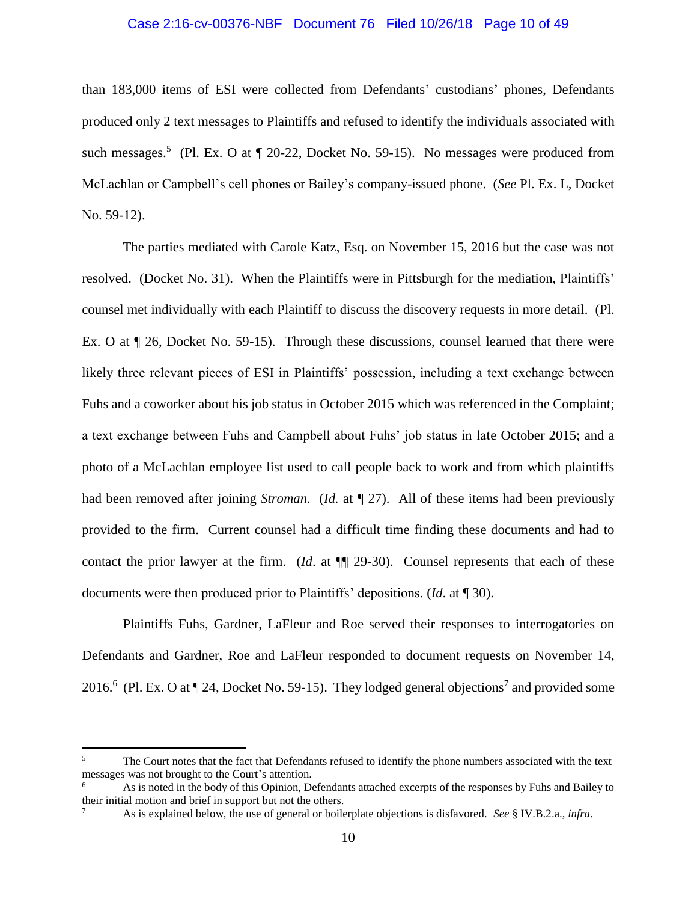# Case 2:16-cv-00376-NBF Document 76 Filed 10/26/18 Page 10 of 49

than 183,000 items of ESI were collected from Defendants' custodians' phones, Defendants produced only 2 text messages to Plaintiffs and refused to identify the individuals associated with such messages.<sup>5</sup> (Pl. Ex. O at  $\P$  20-22, Docket No. 59-15). No messages were produced from McLachlan or Campbell's cell phones or Bailey's company-issued phone. (*See* Pl. Ex. L, Docket No. 59-12).

The parties mediated with Carole Katz, Esq. on November 15, 2016 but the case was not resolved. (Docket No. 31). When the Plaintiffs were in Pittsburgh for the mediation, Plaintiffs' counsel met individually with each Plaintiff to discuss the discovery requests in more detail. (Pl. Ex. O at ¶ 26, Docket No. 59-15). Through these discussions, counsel learned that there were likely three relevant pieces of ESI in Plaintiffs' possession, including a text exchange between Fuhs and a coworker about his job status in October 2015 which was referenced in the Complaint; a text exchange between Fuhs and Campbell about Fuhs' job status in late October 2015; and a photo of a McLachlan employee list used to call people back to work and from which plaintiffs had been removed after joining *Stroman*. (*Id.* at ¶ 27). All of these items had been previously provided to the firm. Current counsel had a difficult time finding these documents and had to contact the prior lawyer at the firm. (*Id*. at ¶¶ 29-30). Counsel represents that each of these documents were then produced prior to Plaintiffs' depositions. (*Id*. at ¶ 30).

Plaintiffs Fuhs, Gardner, LaFleur and Roe served their responses to interrogatories on Defendants and Gardner, Roe and LaFleur responded to document requests on November 14, 2016.<sup>6</sup> (Pl. Ex. O at  $\P$  24, Docket No. 59-15). They lodged general objections<sup>7</sup> and provided some

 $5\overline{)}$ The Court notes that the fact that Defendants refused to identify the phone numbers associated with the text messages was not brought to the Court's attention.

<sup>6</sup> As is noted in the body of this Opinion, Defendants attached excerpts of the responses by Fuhs and Bailey to their initial motion and brief in support but not the others.

<sup>7</sup> As is explained below, the use of general or boilerplate objections is disfavored. *See* § IV.B.2.a., *infra*.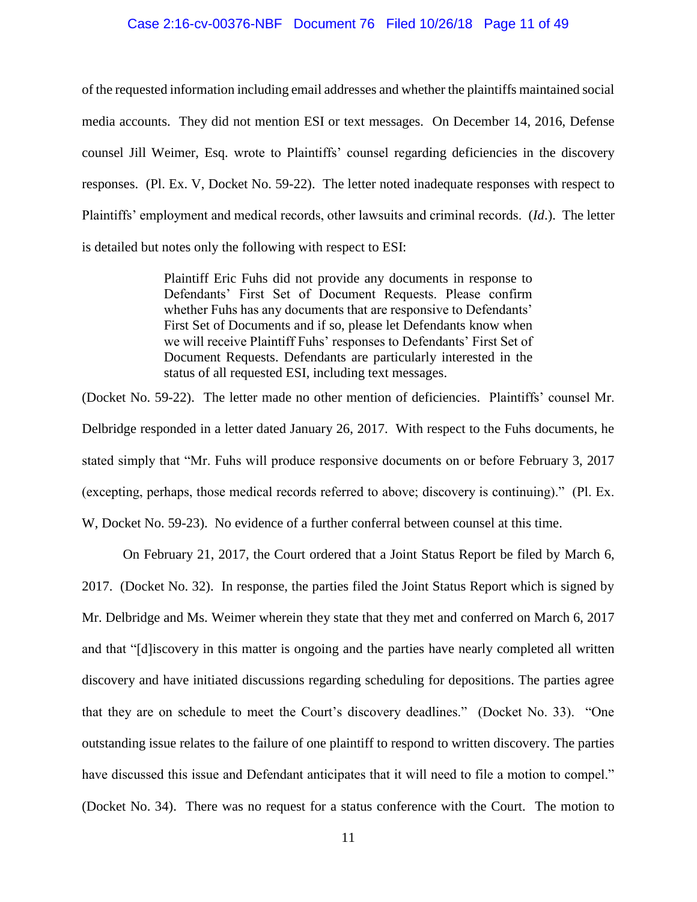### Case 2:16-cv-00376-NBF Document 76 Filed 10/26/18 Page 11 of 49

of the requested information including email addresses and whether the plaintiffs maintained social media accounts. They did not mention ESI or text messages. On December 14, 2016, Defense counsel Jill Weimer, Esq. wrote to Plaintiffs' counsel regarding deficiencies in the discovery responses. (Pl. Ex. V, Docket No. 59-22). The letter noted inadequate responses with respect to Plaintiffs' employment and medical records, other lawsuits and criminal records. (*Id*.). The letter is detailed but notes only the following with respect to ESI:

> Plaintiff Eric Fuhs did not provide any documents in response to Defendants' First Set of Document Requests. Please confirm whether Fuhs has any documents that are responsive to Defendants' First Set of Documents and if so, please let Defendants know when we will receive Plaintiff Fuhs' responses to Defendants' First Set of Document Requests. Defendants are particularly interested in the status of all requested ESI, including text messages.

(Docket No. 59-22). The letter made no other mention of deficiencies. Plaintiffs' counsel Mr. Delbridge responded in a letter dated January 26, 2017. With respect to the Fuhs documents, he stated simply that "Mr. Fuhs will produce responsive documents on or before February 3, 2017 (excepting, perhaps, those medical records referred to above; discovery is continuing)." (Pl. Ex. W, Docket No. 59-23). No evidence of a further conferral between counsel at this time.

On February 21, 2017, the Court ordered that a Joint Status Report be filed by March 6, 2017. (Docket No. 32). In response, the parties filed the Joint Status Report which is signed by Mr. Delbridge and Ms. Weimer wherein they state that they met and conferred on March 6, 2017 and that "[d]iscovery in this matter is ongoing and the parties have nearly completed all written discovery and have initiated discussions regarding scheduling for depositions. The parties agree that they are on schedule to meet the Court's discovery deadlines." (Docket No. 33). "One outstanding issue relates to the failure of one plaintiff to respond to written discovery. The parties have discussed this issue and Defendant anticipates that it will need to file a motion to compel." (Docket No. 34). There was no request for a status conference with the Court. The motion to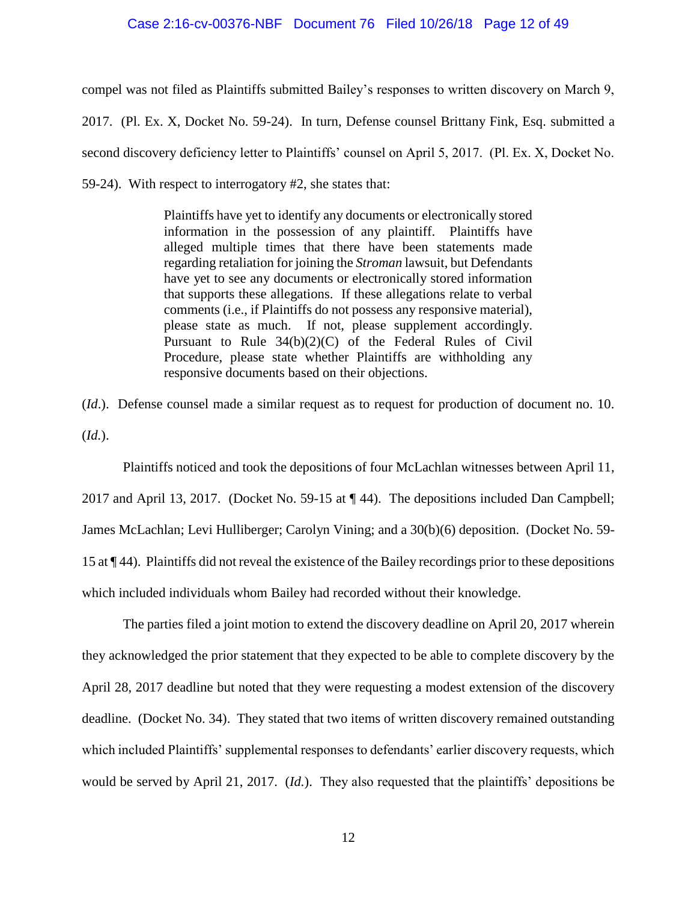### Case 2:16-cv-00376-NBF Document 76 Filed 10/26/18 Page 12 of 49

compel was not filed as Plaintiffs submitted Bailey's responses to written discovery on March 9,

2017. (Pl. Ex. X, Docket No. 59-24). In turn, Defense counsel Brittany Fink, Esq. submitted a second discovery deficiency letter to Plaintiffs' counsel on April 5, 2017. (Pl. Ex. X, Docket No. 59-24). With respect to interrogatory #2, she states that:

> Plaintiffs have yet to identify any documents or electronically stored information in the possession of any plaintiff. Plaintiffs have alleged multiple times that there have been statements made regarding retaliation for joining the *Stroman* lawsuit, but Defendants have yet to see any documents or electronically stored information that supports these allegations. If these allegations relate to verbal comments (i.e., if Plaintiffs do not possess any responsive material), please state as much. If not, please supplement accordingly. Pursuant to Rule 34(b)(2)(C) of the Federal Rules of Civil Procedure, please state whether Plaintiffs are withholding any responsive documents based on their objections.

(*Id*.). Defense counsel made a similar request as to request for production of document no. 10. (*Id.*).

Plaintiffs noticed and took the depositions of four McLachlan witnesses between April 11, 2017 and April 13, 2017. (Docket No. 59-15 at ¶ 44). The depositions included Dan Campbell; James McLachlan; Levi Hulliberger; Carolyn Vining; and a 30(b)(6) deposition. (Docket No. 59- 15 at ¶ 44). Plaintiffs did not reveal the existence of the Bailey recordings prior to these depositions which included individuals whom Bailey had recorded without their knowledge.

The parties filed a joint motion to extend the discovery deadline on April 20, 2017 wherein they acknowledged the prior statement that they expected to be able to complete discovery by the April 28, 2017 deadline but noted that they were requesting a modest extension of the discovery deadline. (Docket No. 34). They stated that two items of written discovery remained outstanding which included Plaintiffs' supplemental responses to defendants' earlier discovery requests, which would be served by April 21, 2017. (*Id.*). They also requested that the plaintiffs' depositions be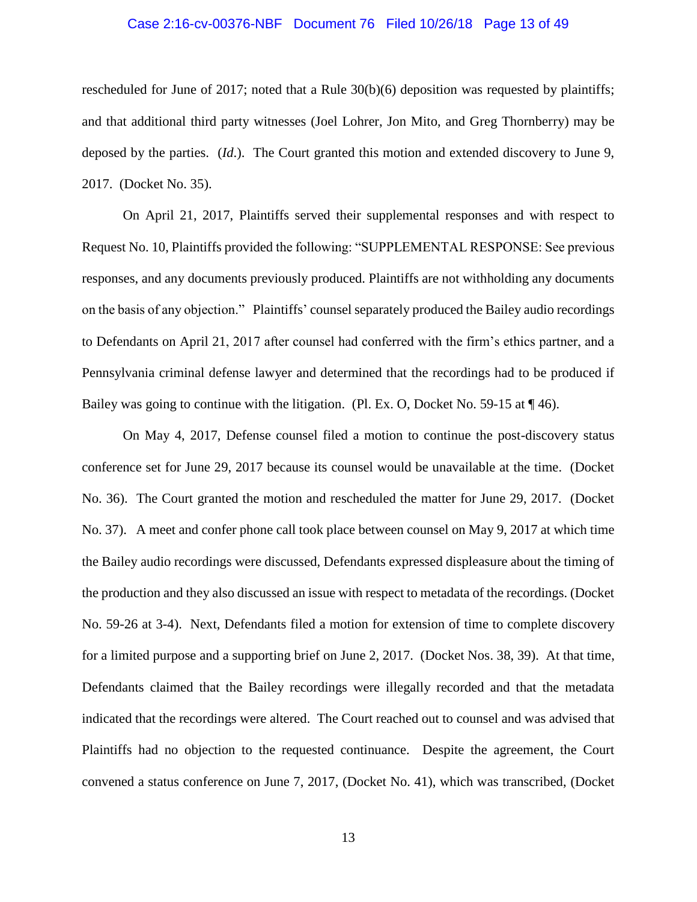### Case 2:16-cv-00376-NBF Document 76 Filed 10/26/18 Page 13 of 49

rescheduled for June of 2017; noted that a Rule 30(b)(6) deposition was requested by plaintiffs; and that additional third party witnesses (Joel Lohrer, Jon Mito, and Greg Thornberry) may be deposed by the parties. (*Id*.). The Court granted this motion and extended discovery to June 9, 2017. (Docket No. 35).

On April 21, 2017, Plaintiffs served their supplemental responses and with respect to Request No. 10, Plaintiffs provided the following: "SUPPLEMENTAL RESPONSE: See previous responses, and any documents previously produced. Plaintiffs are not withholding any documents on the basis of any objection." Plaintiffs' counsel separately produced the Bailey audio recordings to Defendants on April 21, 2017 after counsel had conferred with the firm's ethics partner, and a Pennsylvania criminal defense lawyer and determined that the recordings had to be produced if Bailey was going to continue with the litigation. (Pl. Ex. O, Docket No. 59-15 at  $\P$  46).

On May 4, 2017, Defense counsel filed a motion to continue the post-discovery status conference set for June 29, 2017 because its counsel would be unavailable at the time. (Docket No. 36). The Court granted the motion and rescheduled the matter for June 29, 2017. (Docket No. 37). A meet and confer phone call took place between counsel on May 9, 2017 at which time the Bailey audio recordings were discussed, Defendants expressed displeasure about the timing of the production and they also discussed an issue with respect to metadata of the recordings. (Docket No. 59-26 at 3-4). Next, Defendants filed a motion for extension of time to complete discovery for a limited purpose and a supporting brief on June 2, 2017. (Docket Nos. 38, 39). At that time, Defendants claimed that the Bailey recordings were illegally recorded and that the metadata indicated that the recordings were altered. The Court reached out to counsel and was advised that Plaintiffs had no objection to the requested continuance. Despite the agreement, the Court convened a status conference on June 7, 2017, (Docket No. 41), which was transcribed, (Docket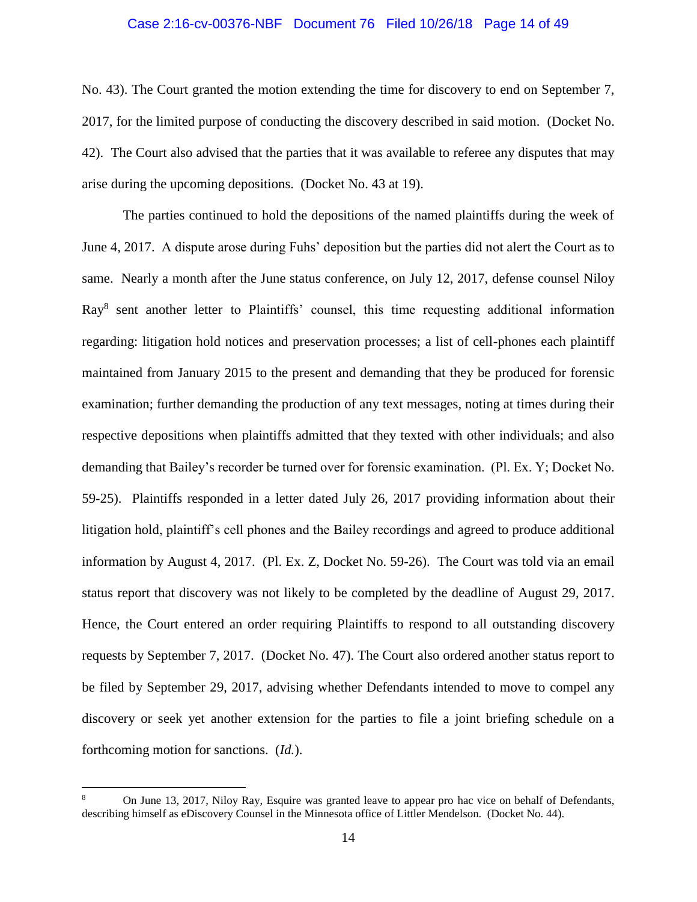## Case 2:16-cv-00376-NBF Document 76 Filed 10/26/18 Page 14 of 49

No. 43). The Court granted the motion extending the time for discovery to end on September 7, 2017, for the limited purpose of conducting the discovery described in said motion. (Docket No. 42). The Court also advised that the parties that it was available to referee any disputes that may arise during the upcoming depositions. (Docket No. 43 at 19).

The parties continued to hold the depositions of the named plaintiffs during the week of June 4, 2017. A dispute arose during Fuhs' deposition but the parties did not alert the Court as to same. Nearly a month after the June status conference, on July 12, 2017, defense counsel Niloy Ray<sup>8</sup> sent another letter to Plaintiffs' counsel, this time requesting additional information regarding: litigation hold notices and preservation processes; a list of cell-phones each plaintiff maintained from January 2015 to the present and demanding that they be produced for forensic examination; further demanding the production of any text messages, noting at times during their respective depositions when plaintiffs admitted that they texted with other individuals; and also demanding that Bailey's recorder be turned over for forensic examination. (Pl. Ex. Y; Docket No. 59-25). Plaintiffs responded in a letter dated July 26, 2017 providing information about their litigation hold, plaintiff's cell phones and the Bailey recordings and agreed to produce additional information by August 4, 2017. (Pl. Ex. Z, Docket No. 59-26). The Court was told via an email status report that discovery was not likely to be completed by the deadline of August 29, 2017. Hence, the Court entered an order requiring Plaintiffs to respond to all outstanding discovery requests by September 7, 2017. (Docket No. 47). The Court also ordered another status report to be filed by September 29, 2017, advising whether Defendants intended to move to compel any discovery or seek yet another extension for the parties to file a joint briefing schedule on a forthcoming motion for sanctions. (*Id.*).

<sup>8</sup> On June 13, 2017, Niloy Ray, Esquire was granted leave to appear pro hac vice on behalf of Defendants, describing himself as eDiscovery Counsel in the Minnesota office of Littler Mendelson. (Docket No. 44).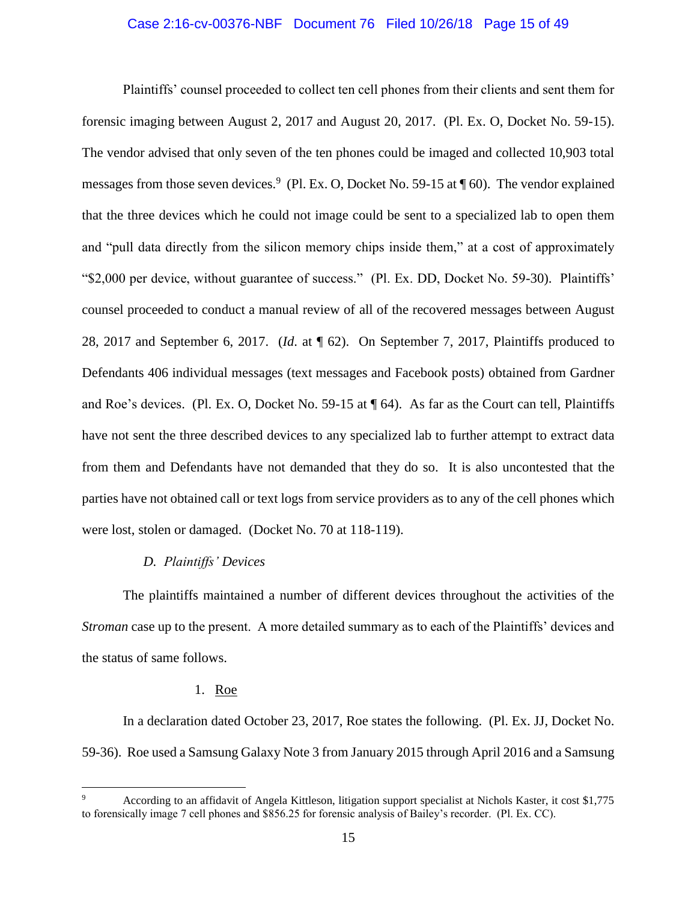### Case 2:16-cv-00376-NBF Document 76 Filed 10/26/18 Page 15 of 49

Plaintiffs' counsel proceeded to collect ten cell phones from their clients and sent them for forensic imaging between August 2, 2017 and August 20, 2017. (Pl. Ex. O, Docket No. 59-15). The vendor advised that only seven of the ten phones could be imaged and collected 10,903 total messages from those seven devices.<sup>9</sup> (Pl. Ex. O, Docket No. 59-15 at  $\P$  60). The vendor explained that the three devices which he could not image could be sent to a specialized lab to open them and "pull data directly from the silicon memory chips inside them," at a cost of approximately "\$2,000 per device, without guarantee of success." (Pl. Ex. DD, Docket No. 59-30). Plaintiffs' counsel proceeded to conduct a manual review of all of the recovered messages between August 28, 2017 and September 6, 2017. (*Id*. at ¶ 62). On September 7, 2017, Plaintiffs produced to Defendants 406 individual messages (text messages and Facebook posts) obtained from Gardner and Roe's devices. (Pl. Ex. O, Docket No. 59-15 at ¶ 64). As far as the Court can tell, Plaintiffs have not sent the three described devices to any specialized lab to further attempt to extract data from them and Defendants have not demanded that they do so. It is also uncontested that the parties have not obtained call or text logs from service providers as to any of the cell phones which were lost, stolen or damaged. (Docket No. 70 at 118-119).

## *D. Plaintiffs' Devices*

The plaintiffs maintained a number of different devices throughout the activities of the *Stroman* case up to the present. A more detailed summary as to each of the Plaintiffs' devices and the status of same follows.

## 1. Roe

 $\overline{a}$ 

In a declaration dated October 23, 2017, Roe states the following. (Pl. Ex. JJ, Docket No. 59-36). Roe used a Samsung Galaxy Note 3 from January 2015 through April 2016 and a Samsung

<sup>9</sup> According to an affidavit of Angela Kittleson, litigation support specialist at Nichols Kaster, it cost \$1,775 to forensically image 7 cell phones and \$856.25 for forensic analysis of Bailey's recorder. (Pl. Ex. CC).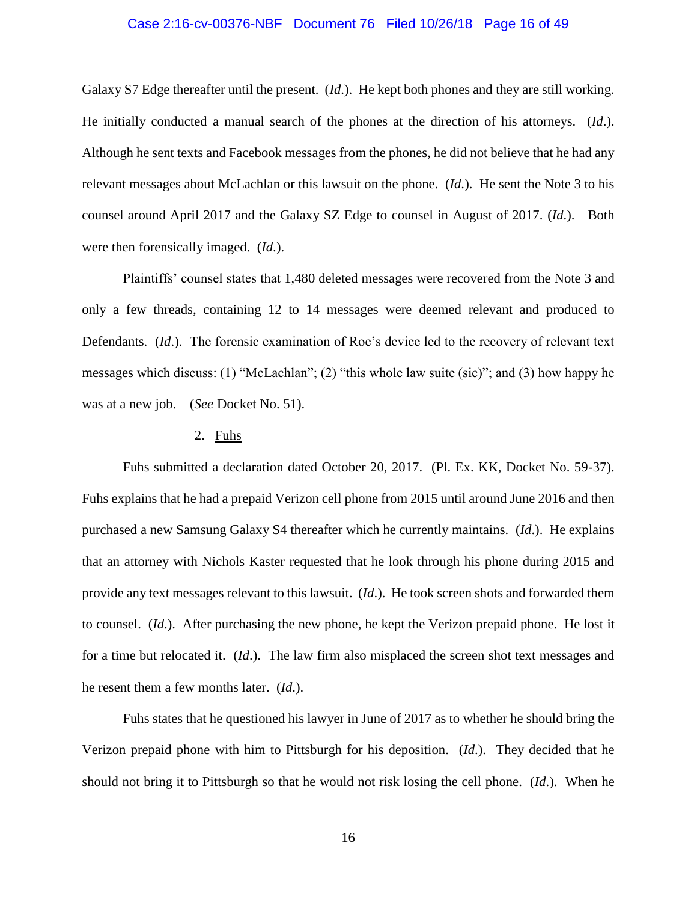### Case 2:16-cv-00376-NBF Document 76 Filed 10/26/18 Page 16 of 49

Galaxy S7 Edge thereafter until the present. (*Id*.). He kept both phones and they are still working. He initially conducted a manual search of the phones at the direction of his attorneys. (*Id*.). Although he sent texts and Facebook messages from the phones, he did not believe that he had any relevant messages about McLachlan or this lawsuit on the phone. (*Id*.). He sent the Note 3 to his counsel around April 2017 and the Galaxy SZ Edge to counsel in August of 2017. (*Id*.). Both were then forensically imaged. (*Id*.).

Plaintiffs' counsel states that 1,480 deleted messages were recovered from the Note 3 and only a few threads, containing 12 to 14 messages were deemed relevant and produced to Defendants. (*Id*.). The forensic examination of Roe's device led to the recovery of relevant text messages which discuss: (1) "McLachlan"; (2) "this whole law suite (sic)"; and (3) how happy he was at a new job. (*See* Docket No. 51).

#### 2. Fuhs

Fuhs submitted a declaration dated October 20, 2017. (Pl. Ex. KK, Docket No. 59-37). Fuhs explains that he had a prepaid Verizon cell phone from 2015 until around June 2016 and then purchased a new Samsung Galaxy S4 thereafter which he currently maintains. (*Id*.). He explains that an attorney with Nichols Kaster requested that he look through his phone during 2015 and provide any text messages relevant to this lawsuit. (*Id*.). He took screen shots and forwarded them to counsel. (*Id*.). After purchasing the new phone, he kept the Verizon prepaid phone. He lost it for a time but relocated it. (*Id*.). The law firm also misplaced the screen shot text messages and he resent them a few months later. (*Id*.).

Fuhs states that he questioned his lawyer in June of 2017 as to whether he should bring the Verizon prepaid phone with him to Pittsburgh for his deposition. (*Id*.). They decided that he should not bring it to Pittsburgh so that he would not risk losing the cell phone. (*Id*.). When he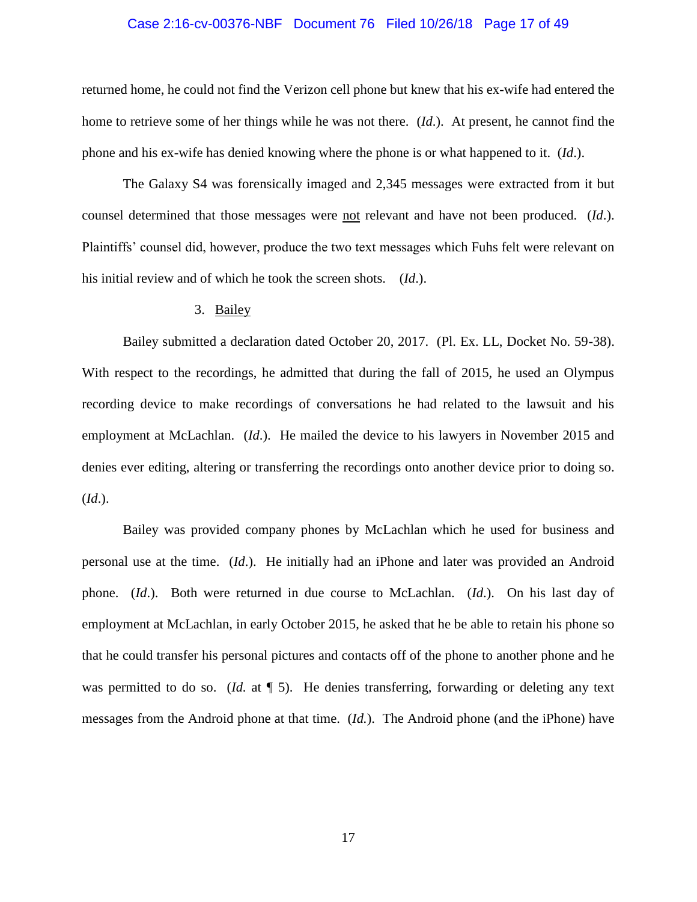### Case 2:16-cv-00376-NBF Document 76 Filed 10/26/18 Page 17 of 49

returned home, he could not find the Verizon cell phone but knew that his ex-wife had entered the home to retrieve some of her things while he was not there. (*Id*.). At present, he cannot find the phone and his ex-wife has denied knowing where the phone is or what happened to it. (*Id*.).

The Galaxy S4 was forensically imaged and 2,345 messages were extracted from it but counsel determined that those messages were not relevant and have not been produced. (*Id*.). Plaintiffs' counsel did, however, produce the two text messages which Fuhs felt were relevant on his initial review and of which he took the screen shots. (*Id*.).

# 3. Bailey

Bailey submitted a declaration dated October 20, 2017. (Pl. Ex. LL, Docket No. 59-38). With respect to the recordings, he admitted that during the fall of 2015, he used an Olympus recording device to make recordings of conversations he had related to the lawsuit and his employment at McLachlan. (*Id*.). He mailed the device to his lawyers in November 2015 and denies ever editing, altering or transferring the recordings onto another device prior to doing so. (*Id*.).

Bailey was provided company phones by McLachlan which he used for business and personal use at the time. (*Id*.). He initially had an iPhone and later was provided an Android phone. (*Id*.). Both were returned in due course to McLachlan. (*Id*.). On his last day of employment at McLachlan, in early October 2015, he asked that he be able to retain his phone so that he could transfer his personal pictures and contacts off of the phone to another phone and he was permitted to do so. (*Id.* at  $\P$  5). He denies transferring, forwarding or deleting any text messages from the Android phone at that time. (*Id.*). The Android phone (and the iPhone) have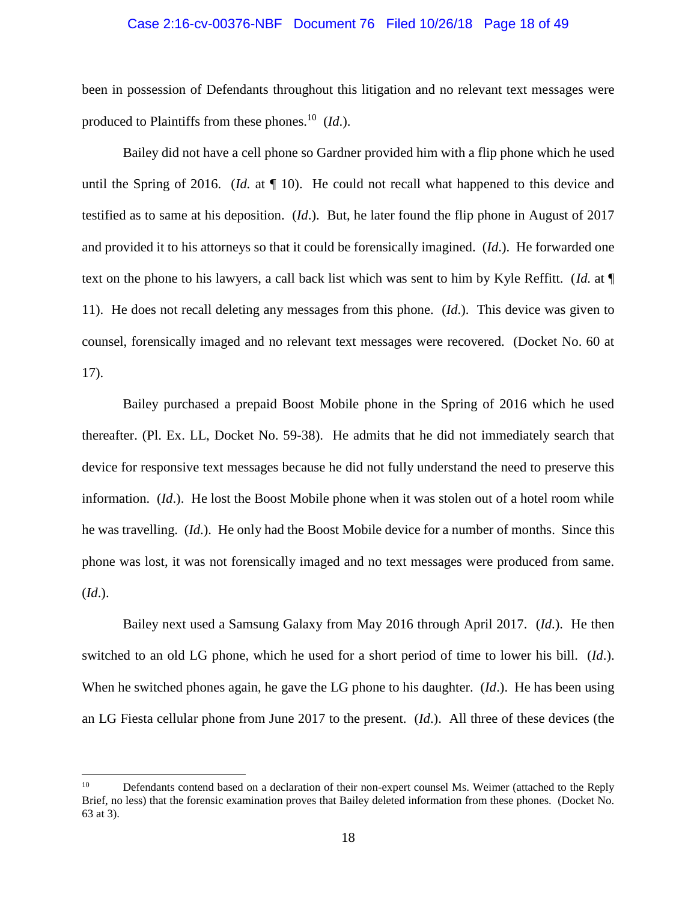#### Case 2:16-cv-00376-NBF Document 76 Filed 10/26/18 Page 18 of 49

been in possession of Defendants throughout this litigation and no relevant text messages were produced to Plaintiffs from these phones.<sup>10</sup> (*Id*.).

Bailey did not have a cell phone so Gardner provided him with a flip phone which he used until the Spring of 2016. (*Id.* at ¶ 10). He could not recall what happened to this device and testified as to same at his deposition. (*Id*.). But, he later found the flip phone in August of 2017 and provided it to his attorneys so that it could be forensically imagined. (*Id*.). He forwarded one text on the phone to his lawyers, a call back list which was sent to him by Kyle Reffitt. (*Id.* at ¶ 11). He does not recall deleting any messages from this phone. (*Id*.). This device was given to counsel, forensically imaged and no relevant text messages were recovered. (Docket No. 60 at 17).

Bailey purchased a prepaid Boost Mobile phone in the Spring of 2016 which he used thereafter. (Pl. Ex. LL, Docket No. 59-38). He admits that he did not immediately search that device for responsive text messages because he did not fully understand the need to preserve this information. (*Id*.). He lost the Boost Mobile phone when it was stolen out of a hotel room while he was travelling. (*Id*.). He only had the Boost Mobile device for a number of months. Since this phone was lost, it was not forensically imaged and no text messages were produced from same. (*Id*.).

Bailey next used a Samsung Galaxy from May 2016 through April 2017. (*Id*.). He then switched to an old LG phone, which he used for a short period of time to lower his bill. (*Id*.). When he switched phones again, he gave the LG phone to his daughter. (*Id*.). He has been using an LG Fiesta cellular phone from June 2017 to the present. (*Id*.). All three of these devices (the

<sup>&</sup>lt;sup>10</sup> Defendants contend based on a declaration of their non-expert counsel Ms. Weimer (attached to the Reply Brief, no less) that the forensic examination proves that Bailey deleted information from these phones. (Docket No. 63 at 3).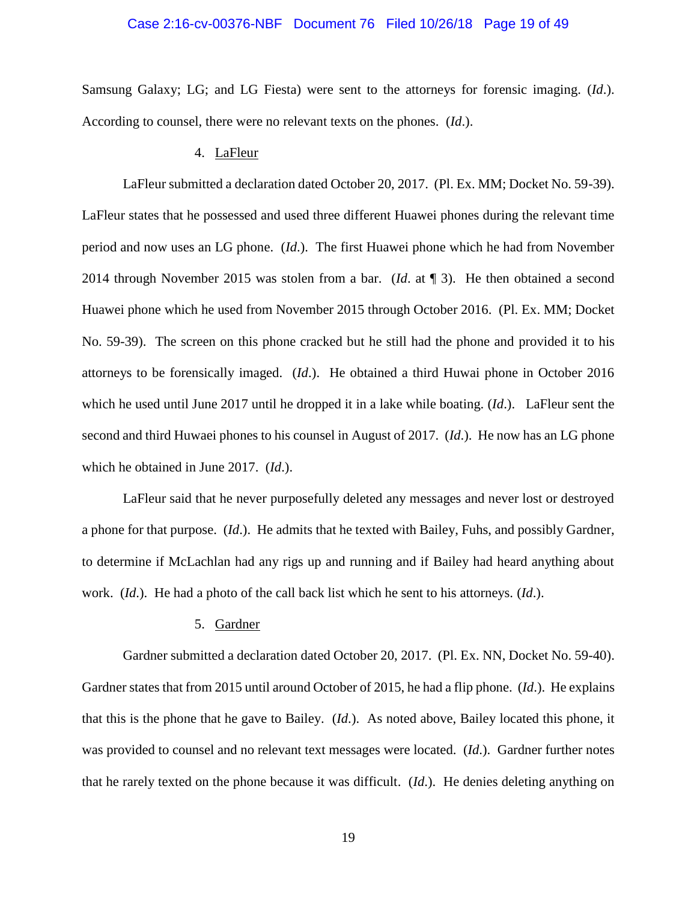### Case 2:16-cv-00376-NBF Document 76 Filed 10/26/18 Page 19 of 49

Samsung Galaxy; LG; and LG Fiesta) were sent to the attorneys for forensic imaging. (*Id*.). According to counsel, there were no relevant texts on the phones. (*Id*.).

## 4. LaFleur

LaFleur submitted a declaration dated October 20, 2017. (Pl. Ex. MM; Docket No. 59-39). LaFleur states that he possessed and used three different Huawei phones during the relevant time period and now uses an LG phone. (*Id*.). The first Huawei phone which he had from November 2014 through November 2015 was stolen from a bar. (*Id*. at ¶ 3). He then obtained a second Huawei phone which he used from November 2015 through October 2016. (Pl. Ex. MM; Docket No. 59-39). The screen on this phone cracked but he still had the phone and provided it to his attorneys to be forensically imaged. (*Id*.). He obtained a third Huwai phone in October 2016 which he used until June 2017 until he dropped it in a lake while boating. (*Id*.). LaFleur sent the second and third Huwaei phones to his counsel in August of 2017. (*Id*.). He now has an LG phone which he obtained in June 2017. (*Id*.).

LaFleur said that he never purposefully deleted any messages and never lost or destroyed a phone for that purpose. (*Id*.). He admits that he texted with Bailey, Fuhs, and possibly Gardner, to determine if McLachlan had any rigs up and running and if Bailey had heard anything about work. (*Id*.). He had a photo of the call back list which he sent to his attorneys. (*Id*.).

# 5. Gardner

Gardner submitted a declaration dated October 20, 2017. (Pl. Ex. NN, Docket No. 59-40). Gardner states that from 2015 until around October of 2015, he had a flip phone. (*Id*.). He explains that this is the phone that he gave to Bailey. (*Id*.). As noted above, Bailey located this phone, it was provided to counsel and no relevant text messages were located. (*Id*.). Gardner further notes that he rarely texted on the phone because it was difficult. (*Id*.). He denies deleting anything on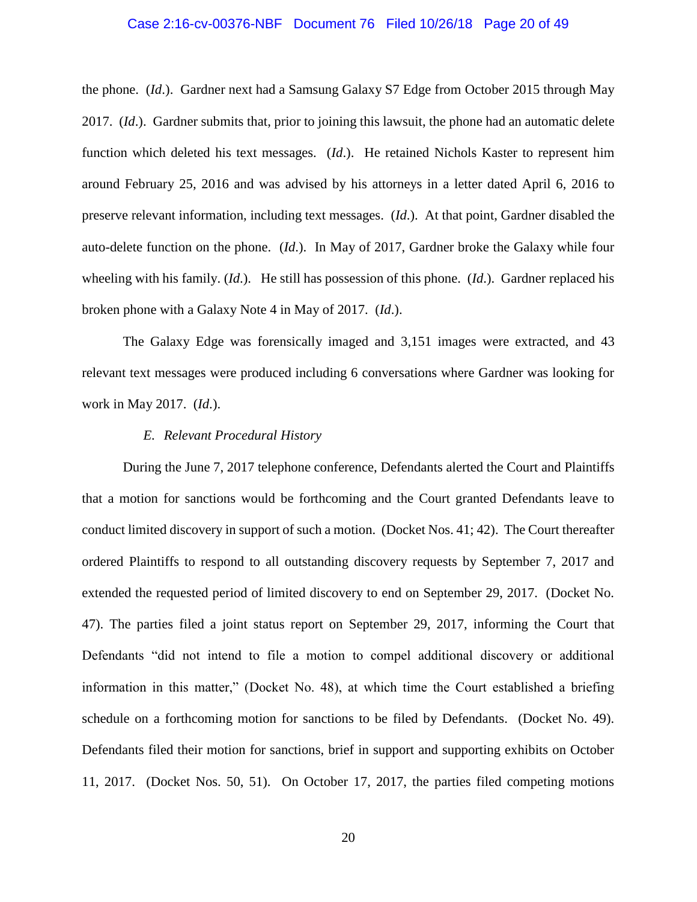### Case 2:16-cv-00376-NBF Document 76 Filed 10/26/18 Page 20 of 49

the phone. (*Id*.). Gardner next had a Samsung Galaxy S7 Edge from October 2015 through May 2017. (*Id*.). Gardner submits that, prior to joining this lawsuit, the phone had an automatic delete function which deleted his text messages. (*Id*.). He retained Nichols Kaster to represent him around February 25, 2016 and was advised by his attorneys in a letter dated April 6, 2016 to preserve relevant information, including text messages. (*Id*.). At that point, Gardner disabled the auto-delete function on the phone. (*Id*.). In May of 2017, Gardner broke the Galaxy while four wheeling with his family. (*Id*.). He still has possession of this phone. (*Id*.). Gardner replaced his broken phone with a Galaxy Note 4 in May of 2017. (*Id*.).

The Galaxy Edge was forensically imaged and 3,151 images were extracted, and 43 relevant text messages were produced including 6 conversations where Gardner was looking for work in May 2017. (*Id*.).

#### *E. Relevant Procedural History*

During the June 7, 2017 telephone conference, Defendants alerted the Court and Plaintiffs that a motion for sanctions would be forthcoming and the Court granted Defendants leave to conduct limited discovery in support of such a motion. (Docket Nos. 41; 42). The Court thereafter ordered Plaintiffs to respond to all outstanding discovery requests by September 7, 2017 and extended the requested period of limited discovery to end on September 29, 2017. (Docket No. 47). The parties filed a joint status report on September 29, 2017, informing the Court that Defendants "did not intend to file a motion to compel additional discovery or additional information in this matter," (Docket No. 48), at which time the Court established a briefing schedule on a forthcoming motion for sanctions to be filed by Defendants. (Docket No. 49). Defendants filed their motion for sanctions, brief in support and supporting exhibits on October 11, 2017. (Docket Nos. 50, 51). On October 17, 2017, the parties filed competing motions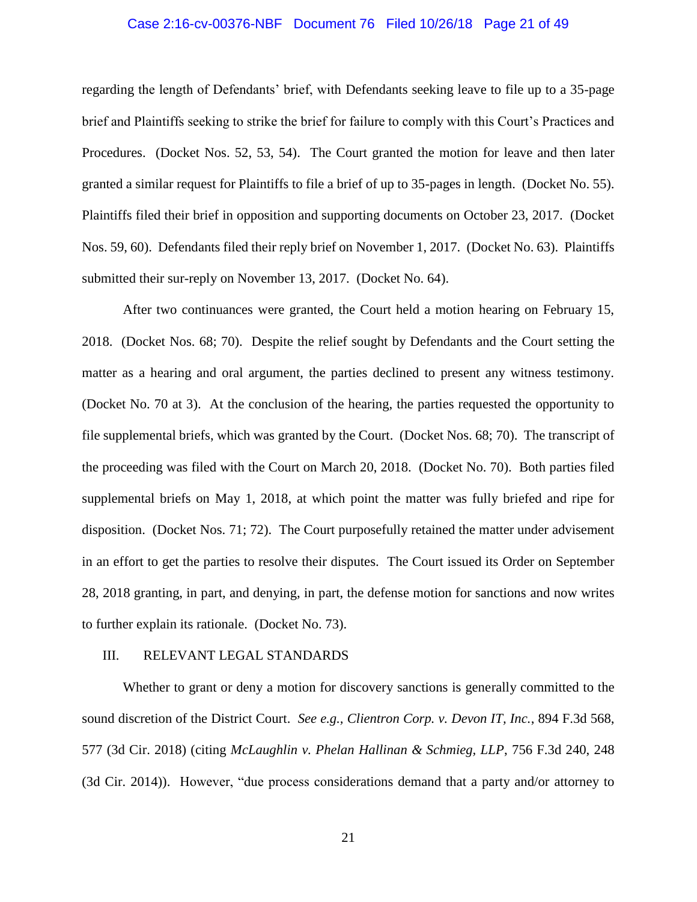### Case 2:16-cv-00376-NBF Document 76 Filed 10/26/18 Page 21 of 49

regarding the length of Defendants' brief, with Defendants seeking leave to file up to a 35-page brief and Plaintiffs seeking to strike the brief for failure to comply with this Court's Practices and Procedures. (Docket Nos. 52, 53, 54). The Court granted the motion for leave and then later granted a similar request for Plaintiffs to file a brief of up to 35-pages in length. (Docket No. 55). Plaintiffs filed their brief in opposition and supporting documents on October 23, 2017. (Docket Nos. 59, 60). Defendants filed their reply brief on November 1, 2017. (Docket No. 63). Plaintiffs submitted their sur-reply on November 13, 2017. (Docket No. 64).

After two continuances were granted, the Court held a motion hearing on February 15, 2018. (Docket Nos. 68; 70). Despite the relief sought by Defendants and the Court setting the matter as a hearing and oral argument, the parties declined to present any witness testimony. (Docket No. 70 at 3). At the conclusion of the hearing, the parties requested the opportunity to file supplemental briefs, which was granted by the Court. (Docket Nos. 68; 70). The transcript of the proceeding was filed with the Court on March 20, 2018. (Docket No. 70). Both parties filed supplemental briefs on May 1, 2018, at which point the matter was fully briefed and ripe for disposition. (Docket Nos. 71; 72). The Court purposefully retained the matter under advisement in an effort to get the parties to resolve their disputes. The Court issued its Order on September 28, 2018 granting, in part, and denying, in part, the defense motion for sanctions and now writes to further explain its rationale. (Docket No. 73).

### III. RELEVANT LEGAL STANDARDS

Whether to grant or deny a motion for discovery sanctions is generally committed to the sound discretion of the District Court. *See e.g., Clientron Corp. v. Devon IT, Inc.*, 894 F.3d 568, 577 (3d Cir. 2018) (citing *McLaughlin v. Phelan Hallinan & Schmieg, LLP*, 756 F.3d 240, 248 (3d Cir. 2014)). However, "due process considerations demand that a party and/or attorney to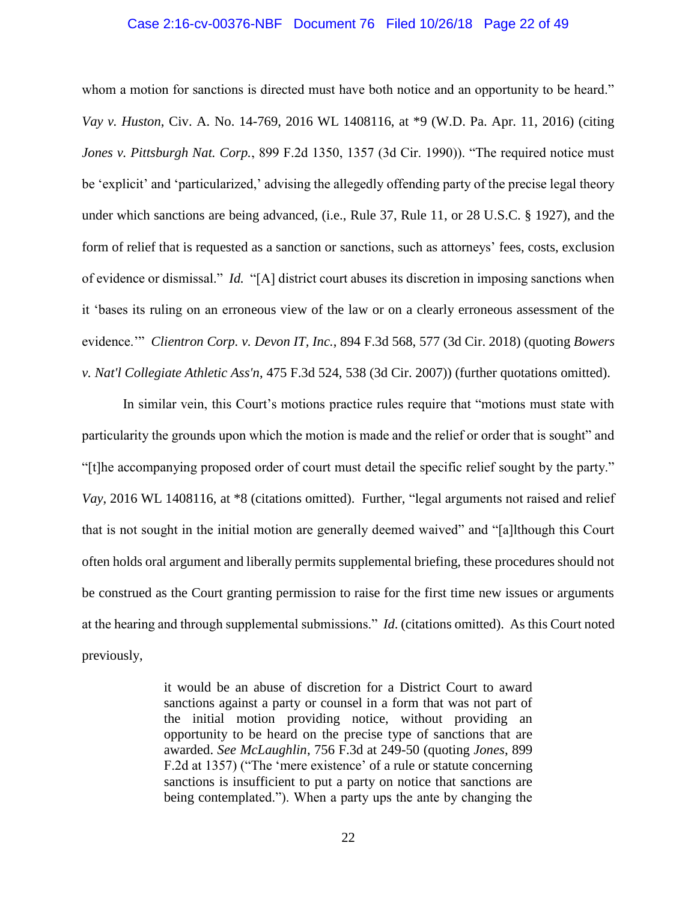## Case 2:16-cv-00376-NBF Document 76 Filed 10/26/18 Page 22 of 49

whom a motion for sanctions is directed must have both notice and an opportunity to be heard." *Vay v. Huston*, Civ. A. No. 14-769, 2016 WL 1408116, at \*9 (W.D. Pa. Apr. 11, 2016) (citing *Jones v. Pittsburgh Nat. Corp.*, 899 F.2d 1350, 1357 (3d Cir. 1990)). "The required notice must be 'explicit' and 'particularized,' advising the allegedly offending party of the precise legal theory under which sanctions are being advanced, (i.e., Rule 37, Rule 11, or 28 U.S.C. § 1927), and the form of relief that is requested as a sanction or sanctions, such as attorneys' fees, costs, exclusion of evidence or dismissal." *Id.* "[A] district court abuses its discretion in imposing sanctions when it 'bases its ruling on an erroneous view of the law or on a clearly erroneous assessment of the evidence.'" *Clientron Corp. v. Devon IT, Inc.*, 894 F.3d 568, 577 (3d Cir. 2018) (quoting *Bowers v. Nat'l Collegiate Athletic Ass'n*, 475 F.3d 524, 538 (3d Cir. 2007)) (further quotations omitted).

In similar vein, this Court's motions practice rules require that "motions must state with particularity the grounds upon which the motion is made and the relief or order that is sought" and "[t]he accompanying proposed order of court must detail the specific relief sought by the party." *Vay*, 2016 WL 1408116, at \*8 (citations omitted). Further, "legal arguments not raised and relief that is not sought in the initial motion are generally deemed waived" and "[a]lthough this Court often holds oral argument and liberally permits supplemental briefing, these procedures should not be construed as the Court granting permission to raise for the first time new issues or arguments at the hearing and through supplemental submissions." *Id*. (citations omitted). As this Court noted previously,

> it would be an abuse of discretion for a District Court to award sanctions against a party or counsel in a form that was not part of the initial motion providing notice, without providing an opportunity to be heard on the precise type of sanctions that are awarded. *See McLaughlin*, 756 F.3d at 249-50 (quoting *Jones*, 899 F.2d at 1357) ("The 'mere existence' of a rule or statute concerning sanctions is insufficient to put a party on notice that sanctions are being contemplated."). When a party ups the ante by changing the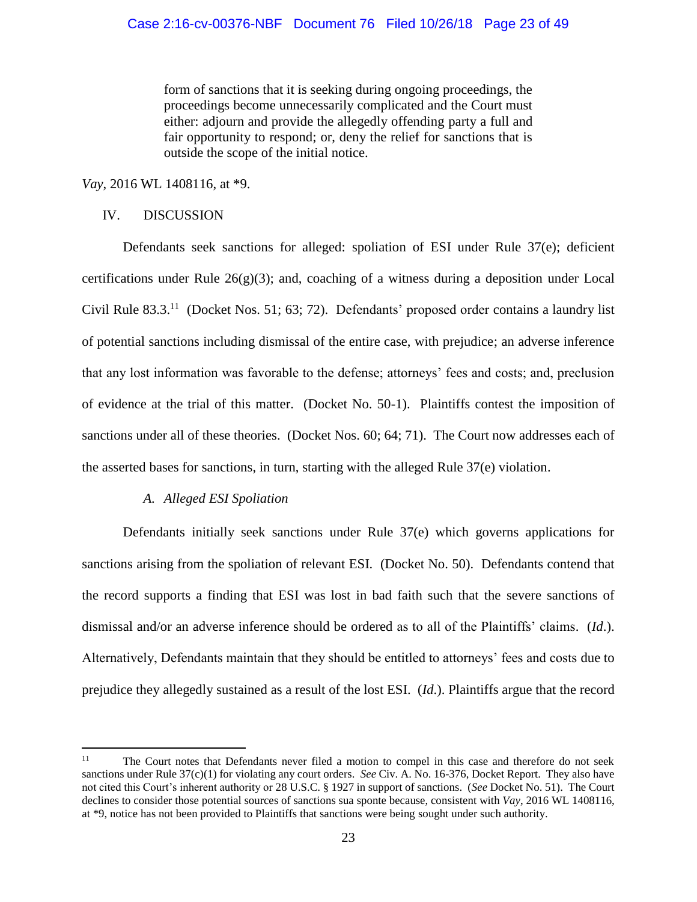form of sanctions that it is seeking during ongoing proceedings, the proceedings become unnecessarily complicated and the Court must either: adjourn and provide the allegedly offending party a full and fair opportunity to respond; or, deny the relief for sanctions that is outside the scope of the initial notice.

*Vay*, 2016 WL 1408116, at \*9.

# IV. DISCUSSION

Defendants seek sanctions for alleged: spoliation of ESI under Rule 37(e); deficient certifications under Rule  $26(g)(3)$ ; and, coaching of a witness during a deposition under Local Civil Rule 83.3.<sup>11</sup> (Docket Nos. 51; 63; 72). Defendants' proposed order contains a laundry list of potential sanctions including dismissal of the entire case, with prejudice; an adverse inference that any lost information was favorable to the defense; attorneys' fees and costs; and, preclusion of evidence at the trial of this matter. (Docket No. 50-1). Plaintiffs contest the imposition of sanctions under all of these theories. (Docket Nos. 60; 64; 71). The Court now addresses each of the asserted bases for sanctions, in turn, starting with the alleged Rule 37(e) violation.

# *A. Alleged ESI Spoliation*

Defendants initially seek sanctions under Rule 37(e) which governs applications for sanctions arising from the spoliation of relevant ESI. (Docket No. 50). Defendants contend that the record supports a finding that ESI was lost in bad faith such that the severe sanctions of dismissal and/or an adverse inference should be ordered as to all of the Plaintiffs' claims. (*Id*.). Alternatively, Defendants maintain that they should be entitled to attorneys' fees and costs due to prejudice they allegedly sustained as a result of the lost ESI. (*Id*.). Plaintiffs argue that the record

 $11$ <sup>11</sup> The Court notes that Defendants never filed a motion to compel in this case and therefore do not seek sanctions under Rule 37(c)(1) for violating any court orders. *See* Civ. A. No. 16-376, Docket Report. They also have not cited this Court's inherent authority or 28 U.S.C. § 1927 in support of sanctions. (*See* Docket No. 51). The Court declines to consider those potential sources of sanctions sua sponte because, consistent with *Vay*, 2016 WL 1408116, at \*9, notice has not been provided to Plaintiffs that sanctions were being sought under such authority.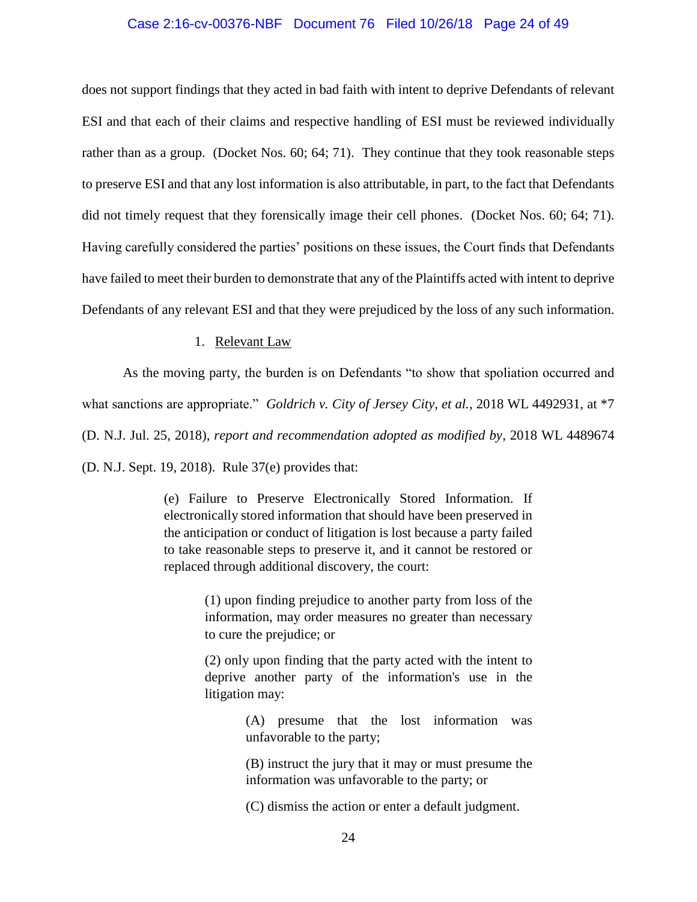### Case 2:16-cv-00376-NBF Document 76 Filed 10/26/18 Page 24 of 49

does not support findings that they acted in bad faith with intent to deprive Defendants of relevant ESI and that each of their claims and respective handling of ESI must be reviewed individually rather than as a group. (Docket Nos. 60; 64; 71). They continue that they took reasonable steps to preserve ESI and that any lost information is also attributable, in part, to the fact that Defendants did not timely request that they forensically image their cell phones. (Docket Nos. 60; 64; 71). Having carefully considered the parties' positions on these issues, the Court finds that Defendants have failed to meet their burden to demonstrate that any of the Plaintiffs acted with intent to deprive Defendants of any relevant ESI and that they were prejudiced by the loss of any such information.

# 1. Relevant Law

As the moving party, the burden is on Defendants "to show that spoliation occurred and what sanctions are appropriate." *Goldrich v. City of Jersey City, et al.*, 2018 WL 4492931, at \*7 (D. N.J. Jul. 25, 2018), *report and recommendation adopted as modified by*, 2018 WL 4489674 (D. N.J. Sept. 19, 2018). Rule 37(e) provides that:

> (e) Failure to Preserve Electronically Stored Information. If electronically stored information that should have been preserved in the anticipation or conduct of litigation is lost because a party failed to take reasonable steps to preserve it, and it cannot be restored or replaced through additional discovery, the court:

> > (1) upon finding prejudice to another party from loss of the information, may order measures no greater than necessary to cure the prejudice; or

> > (2) only upon finding that the party acted with the intent to deprive another party of the information's use in the litigation may:

> > > (A) presume that the lost information was unfavorable to the party;

> > > (B) instruct the jury that it may or must presume the information was unfavorable to the party; or

(C) dismiss the action or enter a default judgment.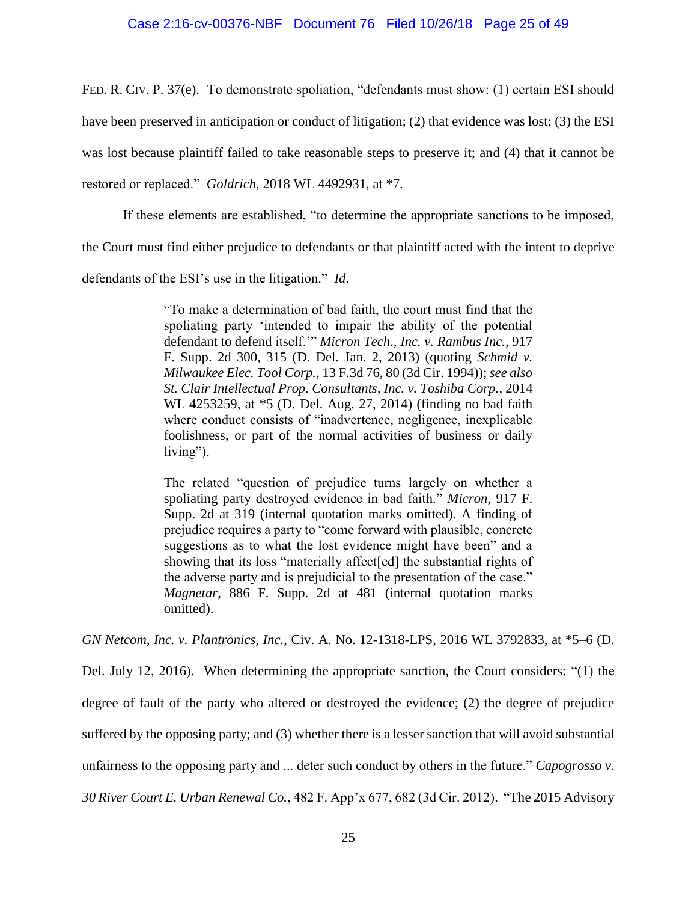## Case 2:16-cv-00376-NBF Document 76 Filed 10/26/18 Page 25 of 49

FED. R. CIV. P. 37(e). To demonstrate spoliation, "defendants must show: (1) certain ESI should

have been preserved in anticipation or conduct of litigation; (2) that evidence was lost; (3) the ESI

was lost because plaintiff failed to take reasonable steps to preserve it; and (4) that it cannot be

restored or replaced." *Goldrich*, 2018 WL 4492931, at \*7.

If these elements are established, "to determine the appropriate sanctions to be imposed,

the Court must find either prejudice to defendants or that plaintiff acted with the intent to deprive

defendants of the ESI's use in the litigation." *Id*.

"To make a determination of bad faith, the court must find that the spoliating party 'intended to impair the ability of the potential defendant to defend itself.'" *Micron Tech., Inc. v. Rambus Inc.*, 917 F. Supp. 2d 300, 315 (D. Del. Jan. 2, 2013) (quoting *Schmid v. Milwaukee Elec. Tool Corp.*, 13 F.3d 76, 80 (3d Cir. 1994)); *see also St. Clair Intellectual Prop. Consultants, Inc. v. Toshiba Corp.*, 2014 WL 4253259, at \*5 (D. Del. Aug. 27, 2014) (finding no bad faith where conduct consists of "inadvertence, negligence, inexplicable foolishness, or part of the normal activities of business or daily living").

The related "question of prejudice turns largely on whether a spoliating party destroyed evidence in bad faith." *Micron*, 917 F. Supp. 2d at 319 (internal quotation marks omitted). A finding of prejudice requires a party to "come forward with plausible, concrete suggestions as to what the lost evidence might have been" and a showing that its loss "materially affect[ed] the substantial rights of the adverse party and is prejudicial to the presentation of the case." *Magnetar*, 886 F. Supp. 2d at 481 (internal quotation marks omitted).

*GN Netcom, Inc. v. Plantronics, Inc.*, Civ. A. No. 12-1318-LPS, 2016 WL 3792833, at \*5–6 (D.

Del. July 12, 2016). When determining the appropriate sanction, the Court considers: "(1) the degree of fault of the party who altered or destroyed the evidence; (2) the degree of prejudice suffered by the opposing party; and (3) whether there is a lesser sanction that will avoid substantial unfairness to the opposing party and ... deter such conduct by others in the future." *Capogrosso v. 30 River Court E. Urban Renewal Co.*, 482 F. App'x 677, 682 (3d Cir. 2012). "The 2015 Advisory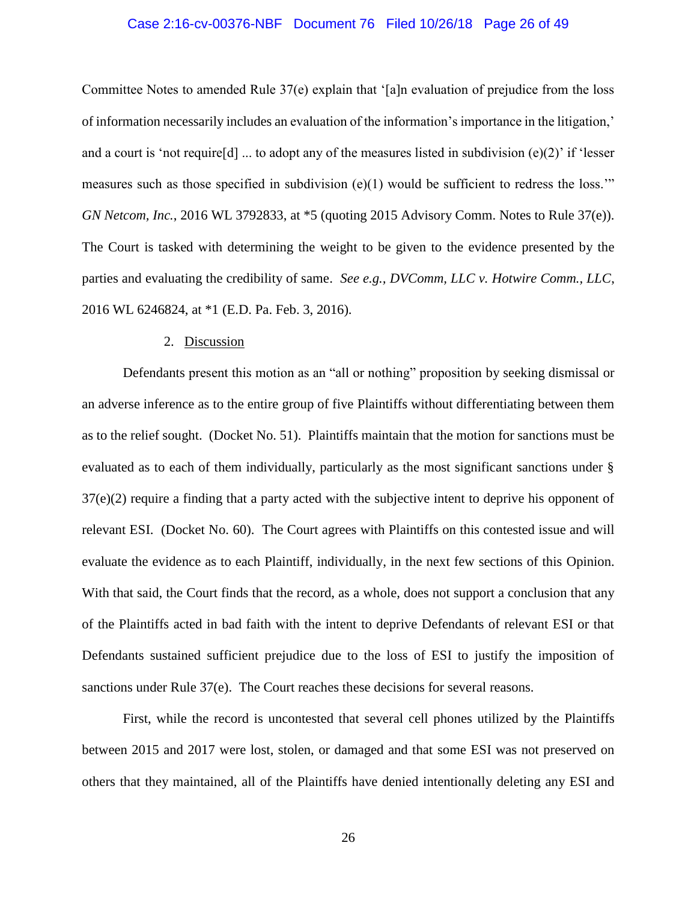# Case 2:16-cv-00376-NBF Document 76 Filed 10/26/18 Page 26 of 49

Committee Notes to amended Rule 37(e) explain that '[a]n evaluation of prejudice from the loss of information necessarily includes an evaluation of the information's importance in the litigation,' and a court is 'not require[d] ... to adopt any of the measures listed in subdivision (e)(2)' if 'lesser measures such as those specified in subdivision  $(e)(1)$  would be sufficient to redress the loss." *GN Netcom, Inc.*, 2016 WL 3792833, at \*5 (quoting 2015 Advisory Comm. Notes to Rule 37(e)). The Court is tasked with determining the weight to be given to the evidence presented by the parties and evaluating the credibility of same. *See e.g., DVComm, LLC v. Hotwire Comm., LLC*, 2016 WL 6246824, at \*1 (E.D. Pa. Feb. 3, 2016).

### 2. Discussion

Defendants present this motion as an "all or nothing" proposition by seeking dismissal or an adverse inference as to the entire group of five Plaintiffs without differentiating between them as to the relief sought. (Docket No. 51). Plaintiffs maintain that the motion for sanctions must be evaluated as to each of them individually, particularly as the most significant sanctions under § 37(e)(2) require a finding that a party acted with the subjective intent to deprive his opponent of relevant ESI. (Docket No. 60). The Court agrees with Plaintiffs on this contested issue and will evaluate the evidence as to each Plaintiff, individually, in the next few sections of this Opinion. With that said, the Court finds that the record, as a whole, does not support a conclusion that any of the Plaintiffs acted in bad faith with the intent to deprive Defendants of relevant ESI or that Defendants sustained sufficient prejudice due to the loss of ESI to justify the imposition of sanctions under Rule 37(e). The Court reaches these decisions for several reasons.

First, while the record is uncontested that several cell phones utilized by the Plaintiffs between 2015 and 2017 were lost, stolen, or damaged and that some ESI was not preserved on others that they maintained, all of the Plaintiffs have denied intentionally deleting any ESI and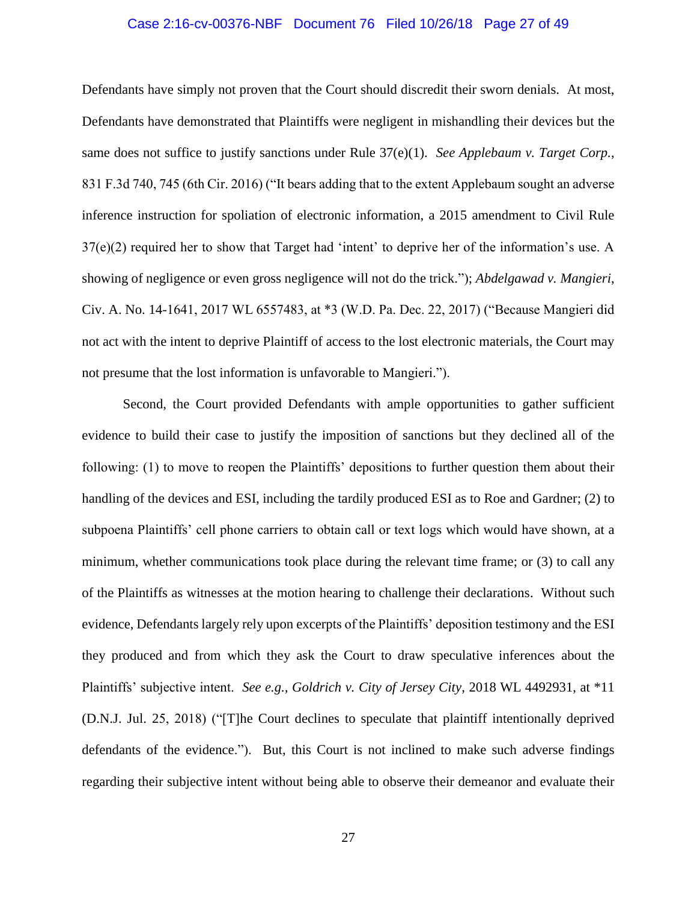# Case 2:16-cv-00376-NBF Document 76 Filed 10/26/18 Page 27 of 49

Defendants have simply not proven that the Court should discredit their sworn denials. At most, Defendants have demonstrated that Plaintiffs were negligent in mishandling their devices but the same does not suffice to justify sanctions under Rule 37(e)(1). *See Applebaum v. Target Corp.*, 831 F.3d 740, 745 (6th Cir. 2016) ("It bears adding that to the extent Applebaum sought an adverse inference instruction for spoliation of electronic information, a 2015 amendment to Civil Rule 37(e)(2) required her to show that Target had 'intent' to deprive her of the information's use. A showing of negligence or even gross negligence will not do the trick."); *Abdelgawad v. Mangieri*, Civ. A. No. 14-1641, 2017 WL 6557483, at \*3 (W.D. Pa. Dec. 22, 2017) ("Because Mangieri did not act with the intent to deprive Plaintiff of access to the lost electronic materials, the Court may not presume that the lost information is unfavorable to Mangieri.").

Second, the Court provided Defendants with ample opportunities to gather sufficient evidence to build their case to justify the imposition of sanctions but they declined all of the following: (1) to move to reopen the Plaintiffs' depositions to further question them about their handling of the devices and ESI, including the tardily produced ESI as to Roe and Gardner; (2) to subpoena Plaintiffs' cell phone carriers to obtain call or text logs which would have shown, at a minimum, whether communications took place during the relevant time frame; or (3) to call any of the Plaintiffs as witnesses at the motion hearing to challenge their declarations. Without such evidence, Defendants largely rely upon excerpts of the Plaintiffs' deposition testimony and the ESI they produced and from which they ask the Court to draw speculative inferences about the Plaintiffs' subjective intent. *See e.g., Goldrich v. City of Jersey City*, 2018 WL 4492931, at \*11 (D.N.J. Jul. 25, 2018) ("[T]he Court declines to speculate that plaintiff intentionally deprived defendants of the evidence."). But, this Court is not inclined to make such adverse findings regarding their subjective intent without being able to observe their demeanor and evaluate their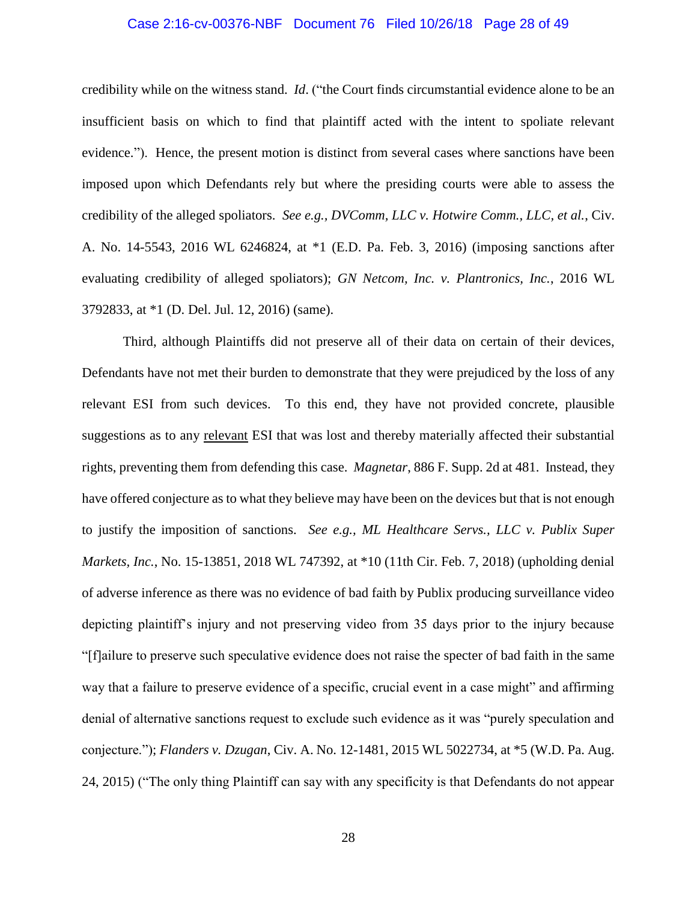### Case 2:16-cv-00376-NBF Document 76 Filed 10/26/18 Page 28 of 49

credibility while on the witness stand. *Id*. ("the Court finds circumstantial evidence alone to be an insufficient basis on which to find that plaintiff acted with the intent to spoliate relevant evidence."). Hence, the present motion is distinct from several cases where sanctions have been imposed upon which Defendants rely but where the presiding courts were able to assess the credibility of the alleged spoliators. *See e.g., DVComm, LLC v. Hotwire Comm., LLC, et al.*, Civ. A. No. 14-5543, 2016 WL 6246824, at \*1 (E.D. Pa. Feb. 3, 2016) (imposing sanctions after evaluating credibility of alleged spoliators); *GN Netcom, Inc. v. Plantronics, Inc.*, 2016 WL 3792833, at \*1 (D. Del. Jul. 12, 2016) (same).

Third, although Plaintiffs did not preserve all of their data on certain of their devices, Defendants have not met their burden to demonstrate that they were prejudiced by the loss of any relevant ESI from such devices. To this end, they have not provided concrete, plausible suggestions as to any relevant ESI that was lost and thereby materially affected their substantial rights, preventing them from defending this case. *Magnetar*, 886 F. Supp. 2d at 481. Instead, they have offered conjecture as to what they believe may have been on the devices but that is not enough to justify the imposition of sanctions. *See e.g., ML Healthcare Servs., LLC v. Publix Super Markets, Inc.*, No. 15-13851, 2018 WL 747392, at \*10 (11th Cir. Feb. 7, 2018) (upholding denial of adverse inference as there was no evidence of bad faith by Publix producing surveillance video depicting plaintiff's injury and not preserving video from 35 days prior to the injury because "[f]ailure to preserve such speculative evidence does not raise the specter of bad faith in the same way that a failure to preserve evidence of a specific, crucial event in a case might" and affirming denial of alternative sanctions request to exclude such evidence as it was "purely speculation and conjecture."); *Flanders v. Dzugan*, Civ. A. No. 12-1481, 2015 WL 5022734, at \*5 (W.D. Pa. Aug. 24, 2015) ("The only thing Plaintiff can say with any specificity is that Defendants do not appear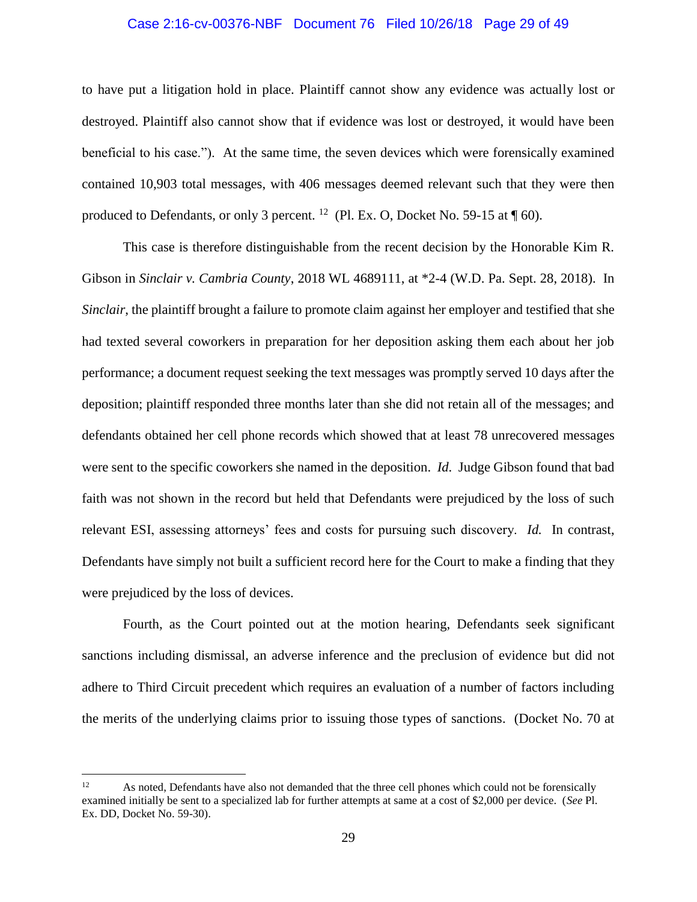### Case 2:16-cv-00376-NBF Document 76 Filed 10/26/18 Page 29 of 49

to have put a litigation hold in place. Plaintiff cannot show any evidence was actually lost or destroyed. Plaintiff also cannot show that if evidence was lost or destroyed, it would have been beneficial to his case."). At the same time, the seven devices which were forensically examined contained 10,903 total messages, with 406 messages deemed relevant such that they were then produced to Defendants, or only 3 percent. <sup>12</sup> (Pl. Ex. O, Docket No. 59-15 at  $\P$  60).

This case is therefore distinguishable from the recent decision by the Honorable Kim R. Gibson in *Sinclair v. Cambria County*, 2018 WL 4689111, at \*2-4 (W.D. Pa. Sept. 28, 2018). In *Sinclair*, the plaintiff brought a failure to promote claim against her employer and testified that she had texted several coworkers in preparation for her deposition asking them each about her job performance; a document request seeking the text messages was promptly served 10 days after the deposition; plaintiff responded three months later than she did not retain all of the messages; and defendants obtained her cell phone records which showed that at least 78 unrecovered messages were sent to the specific coworkers she named in the deposition. *Id*. Judge Gibson found that bad faith was not shown in the record but held that Defendants were prejudiced by the loss of such relevant ESI, assessing attorneys' fees and costs for pursuing such discovery. *Id.* In contrast, Defendants have simply not built a sufficient record here for the Court to make a finding that they were prejudiced by the loss of devices.

Fourth, as the Court pointed out at the motion hearing, Defendants seek significant sanctions including dismissal, an adverse inference and the preclusion of evidence but did not adhere to Third Circuit precedent which requires an evaluation of a number of factors including the merits of the underlying claims prior to issuing those types of sanctions. (Docket No. 70 at

<sup>&</sup>lt;sup>12</sup> As noted, Defendants have also not demanded that the three cell phones which could not be forensically examined initially be sent to a specialized lab for further attempts at same at a cost of \$2,000 per device. (*See* Pl. Ex. DD, Docket No. 59-30).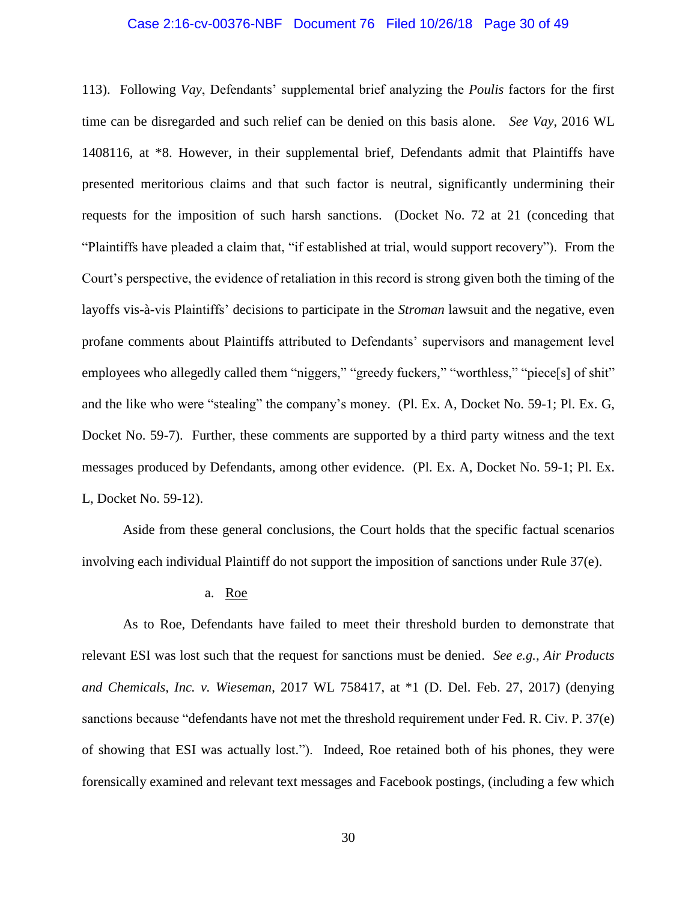### Case 2:16-cv-00376-NBF Document 76 Filed 10/26/18 Page 30 of 49

113). Following *Vay*, Defendants' supplemental brief analyzing the *Poulis* factors for the first time can be disregarded and such relief can be denied on this basis alone. *See Vay*, 2016 WL 1408116, at \*8. However, in their supplemental brief, Defendants admit that Plaintiffs have presented meritorious claims and that such factor is neutral, significantly undermining their requests for the imposition of such harsh sanctions. (Docket No. 72 at 21 (conceding that "Plaintiffs have pleaded a claim that, "if established at trial, would support recovery"). From the Court's perspective, the evidence of retaliation in this record is strong given both the timing of the layoffs vis-à-vis Plaintiffs' decisions to participate in the *Stroman* lawsuit and the negative, even profane comments about Plaintiffs attributed to Defendants' supervisors and management level employees who allegedly called them "niggers," "greedy fuckers," "worthless," "piece[s] of shit" and the like who were "stealing" the company's money. (Pl. Ex. A, Docket No. 59-1; Pl. Ex. G, Docket No. 59-7). Further, these comments are supported by a third party witness and the text messages produced by Defendants, among other evidence. (Pl. Ex. A, Docket No. 59-1; Pl. Ex. L, Docket No. 59-12).

Aside from these general conclusions, the Court holds that the specific factual scenarios involving each individual Plaintiff do not support the imposition of sanctions under Rule 37(e).

### a. Roe

As to Roe, Defendants have failed to meet their threshold burden to demonstrate that relevant ESI was lost such that the request for sanctions must be denied. *See e.g., Air Products and Chemicals, Inc. v. Wieseman*, 2017 WL 758417, at \*1 (D. Del. Feb. 27, 2017) (denying sanctions because "defendants have not met the threshold requirement under Fed. R. Civ. P. 37(e) of showing that ESI was actually lost."). Indeed, Roe retained both of his phones, they were forensically examined and relevant text messages and Facebook postings, (including a few which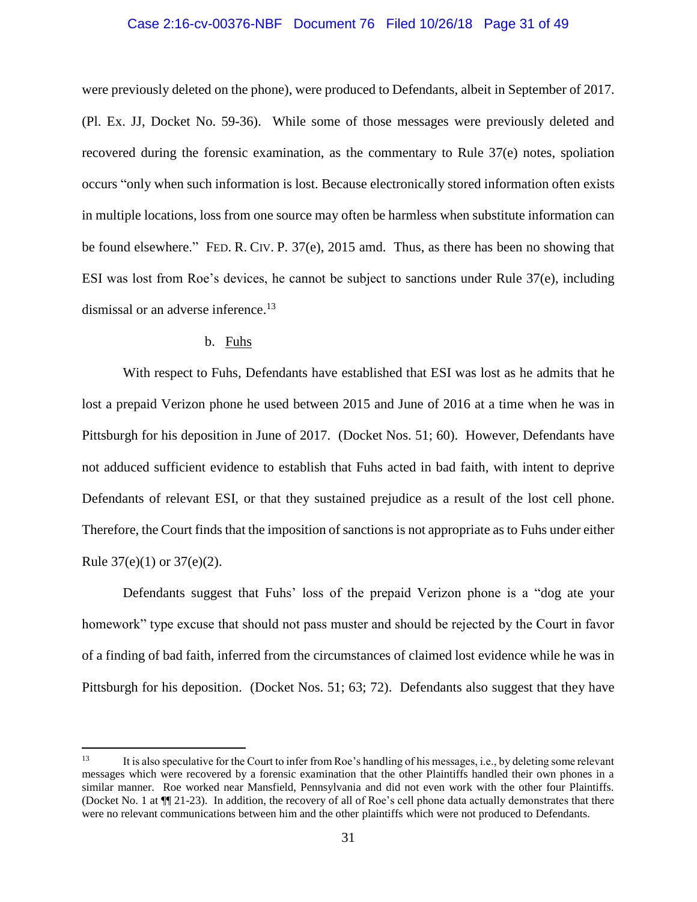## Case 2:16-cv-00376-NBF Document 76 Filed 10/26/18 Page 31 of 49

were previously deleted on the phone), were produced to Defendants, albeit in September of 2017. (Pl. Ex. JJ, Docket No. 59-36). While some of those messages were previously deleted and recovered during the forensic examination, as the commentary to Rule 37(e) notes, spoliation occurs "only when such information is lost. Because electronically stored information often exists in multiple locations, loss from one source may often be harmless when substitute information can be found elsewhere." FED. R. CIV. P. 37(e), 2015 amd. Thus, as there has been no showing that ESI was lost from Roe's devices, he cannot be subject to sanctions under Rule 37(e), including dismissal or an adverse inference.<sup>13</sup>

## b. Fuhs

With respect to Fuhs, Defendants have established that ESI was lost as he admits that he lost a prepaid Verizon phone he used between 2015 and June of 2016 at a time when he was in Pittsburgh for his deposition in June of 2017. (Docket Nos. 51; 60). However, Defendants have not adduced sufficient evidence to establish that Fuhs acted in bad faith, with intent to deprive Defendants of relevant ESI, or that they sustained prejudice as a result of the lost cell phone. Therefore, the Court finds that the imposition of sanctions is not appropriate as to Fuhs under either Rule  $37(e)(1)$  or  $37(e)(2)$ .

Defendants suggest that Fuhs' loss of the prepaid Verizon phone is a "dog ate your homework" type excuse that should not pass muster and should be rejected by the Court in favor of a finding of bad faith, inferred from the circumstances of claimed lost evidence while he was in Pittsburgh for his deposition. (Docket Nos. 51; 63; 72). Defendants also suggest that they have

<sup>13</sup> <sup>13</sup> It is also speculative for the Court to infer from Roe's handling of his messages, i.e., by deleting some relevant messages which were recovered by a forensic examination that the other Plaintiffs handled their own phones in a similar manner. Roe worked near Mansfield, Pennsylvania and did not even work with the other four Plaintiffs. (Docket No. 1 at ¶¶ 21-23). In addition, the recovery of all of Roe's cell phone data actually demonstrates that there were no relevant communications between him and the other plaintiffs which were not produced to Defendants.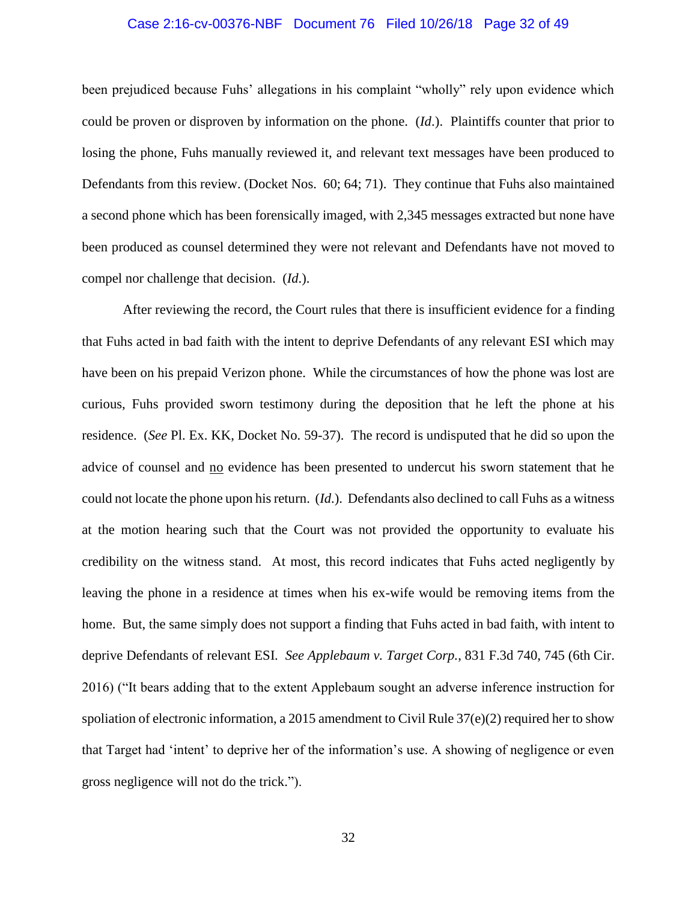### Case 2:16-cv-00376-NBF Document 76 Filed 10/26/18 Page 32 of 49

been prejudiced because Fuhs' allegations in his complaint "wholly" rely upon evidence which could be proven or disproven by information on the phone. (*Id*.). Plaintiffs counter that prior to losing the phone, Fuhs manually reviewed it, and relevant text messages have been produced to Defendants from this review. (Docket Nos. 60; 64; 71). They continue that Fuhs also maintained a second phone which has been forensically imaged, with 2,345 messages extracted but none have been produced as counsel determined they were not relevant and Defendants have not moved to compel nor challenge that decision. (*Id*.).

After reviewing the record, the Court rules that there is insufficient evidence for a finding that Fuhs acted in bad faith with the intent to deprive Defendants of any relevant ESI which may have been on his prepaid Verizon phone. While the circumstances of how the phone was lost are curious, Fuhs provided sworn testimony during the deposition that he left the phone at his residence. (*See* Pl. Ex. KK, Docket No. 59-37). The record is undisputed that he did so upon the advice of counsel and no evidence has been presented to undercut his sworn statement that he could not locate the phone upon his return. (*Id*.). Defendants also declined to call Fuhs as a witness at the motion hearing such that the Court was not provided the opportunity to evaluate his credibility on the witness stand. At most, this record indicates that Fuhs acted negligently by leaving the phone in a residence at times when his ex-wife would be removing items from the home. But, the same simply does not support a finding that Fuhs acted in bad faith, with intent to deprive Defendants of relevant ESI. *See Applebaum v. Target Corp.*, 831 F.3d 740, 745 (6th Cir. 2016) ("It bears adding that to the extent Applebaum sought an adverse inference instruction for spoliation of electronic information, a 2015 amendment to Civil Rule  $37(e)(2)$  required her to show that Target had 'intent' to deprive her of the information's use. A showing of negligence or even gross negligence will not do the trick.").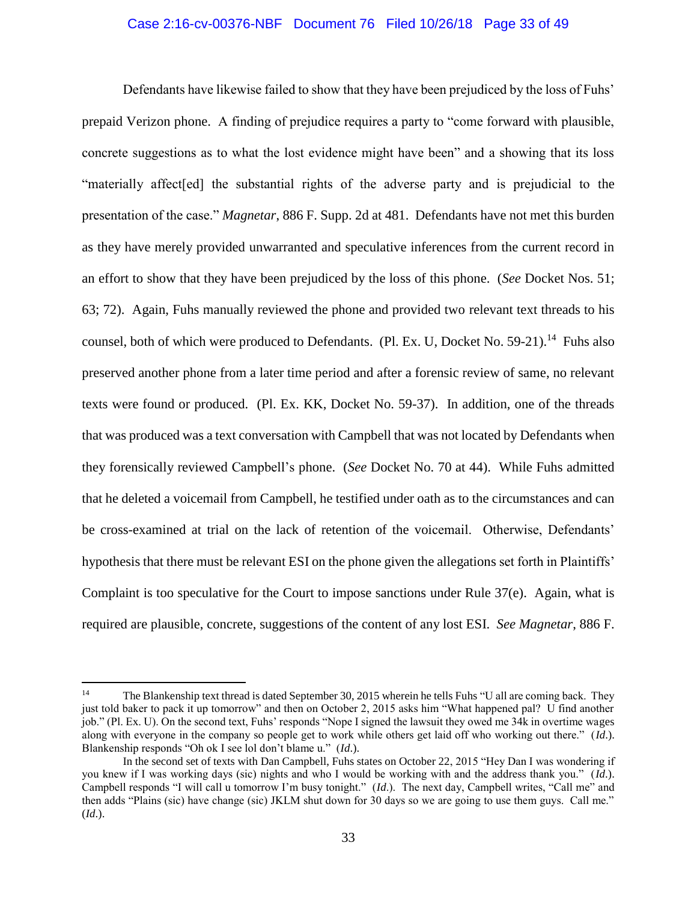# Case 2:16-cv-00376-NBF Document 76 Filed 10/26/18 Page 33 of 49

Defendants have likewise failed to show that they have been prejudiced by the loss of Fuhs' prepaid Verizon phone. A finding of prejudice requires a party to "come forward with plausible, concrete suggestions as to what the lost evidence might have been" and a showing that its loss "materially affect[ed] the substantial rights of the adverse party and is prejudicial to the presentation of the case." *Magnetar*, 886 F. Supp. 2d at 481. Defendants have not met this burden as they have merely provided unwarranted and speculative inferences from the current record in an effort to show that they have been prejudiced by the loss of this phone. (*See* Docket Nos. 51; 63; 72). Again, Fuhs manually reviewed the phone and provided two relevant text threads to his counsel, both of which were produced to Defendants. (Pl. Ex. U, Docket No. 59-21).<sup>14</sup> Fuhs also preserved another phone from a later time period and after a forensic review of same, no relevant texts were found or produced. (Pl. Ex. KK, Docket No. 59-37). In addition, one of the threads that was produced was a text conversation with Campbell that was not located by Defendants when they forensically reviewed Campbell's phone. (*See* Docket No. 70 at 44). While Fuhs admitted that he deleted a voicemail from Campbell, he testified under oath as to the circumstances and can be cross-examined at trial on the lack of retention of the voicemail. Otherwise, Defendants' hypothesis that there must be relevant ESI on the phone given the allegations set forth in Plaintiffs' Complaint is too speculative for the Court to impose sanctions under Rule 37(e). Again, what is required are plausible, concrete, suggestions of the content of any lost ESI. *See Magnetar*, 886 F.

<sup>&</sup>lt;sup>14</sup> The Blankenship text thread is dated September 30, 2015 wherein he tells Fuhs "U all are coming back. They just told baker to pack it up tomorrow" and then on October 2, 2015 asks him "What happened pal? U find another job." (Pl. Ex. U). On the second text, Fuhs' responds "Nope I signed the lawsuit they owed me 34k in overtime wages along with everyone in the company so people get to work while others get laid off who working out there." (*Id*.). Blankenship responds "Oh ok I see lol don't blame u." (*Id*.).

In the second set of texts with Dan Campbell, Fuhs states on October 22, 2015 "Hey Dan I was wondering if you knew if I was working days (sic) nights and who I would be working with and the address thank you." (*Id*.). Campbell responds "I will call u tomorrow I'm busy tonight." (*Id*.). The next day, Campbell writes, "Call me" and then adds "Plains (sic) have change (sic) JKLM shut down for 30 days so we are going to use them guys. Call me." (*Id*.).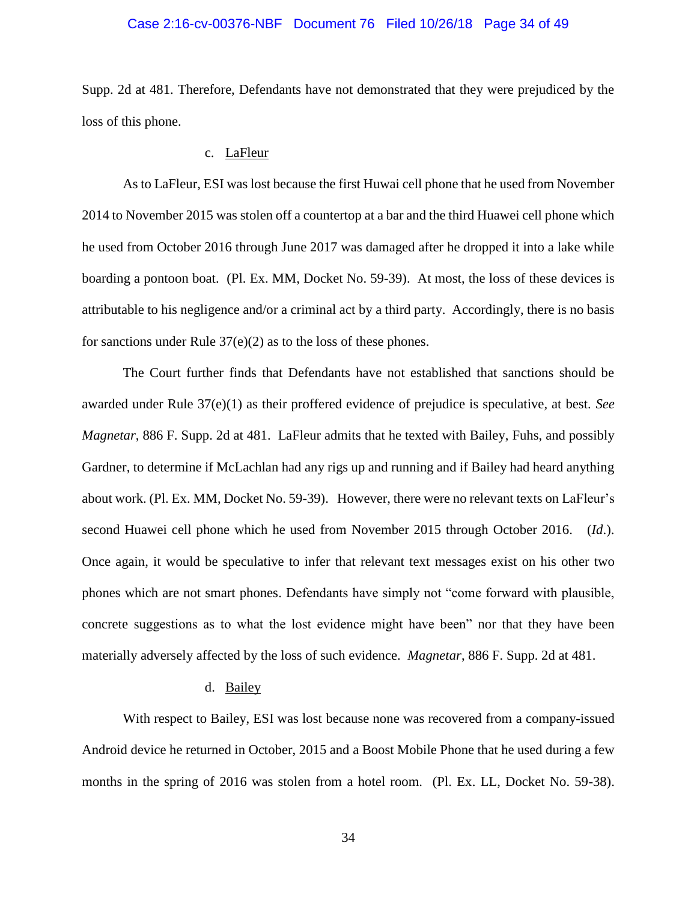### Case 2:16-cv-00376-NBF Document 76 Filed 10/26/18 Page 34 of 49

Supp. 2d at 481. Therefore, Defendants have not demonstrated that they were prejudiced by the loss of this phone.

### c. LaFleur

As to LaFleur, ESI was lost because the first Huwai cell phone that he used from November 2014 to November 2015 was stolen off a countertop at a bar and the third Huawei cell phone which he used from October 2016 through June 2017 was damaged after he dropped it into a lake while boarding a pontoon boat. (Pl. Ex. MM, Docket No. 59-39). At most, the loss of these devices is attributable to his negligence and/or a criminal act by a third party. Accordingly, there is no basis for sanctions under Rule 37(e)(2) as to the loss of these phones.

The Court further finds that Defendants have not established that sanctions should be awarded under Rule 37(e)(1) as their proffered evidence of prejudice is speculative, at best. *See Magnetar*, 886 F. Supp. 2d at 481. LaFleur admits that he texted with Bailey, Fuhs, and possibly Gardner, to determine if McLachlan had any rigs up and running and if Bailey had heard anything about work. (Pl. Ex. MM, Docket No. 59-39). However, there were no relevant texts on LaFleur's second Huawei cell phone which he used from November 2015 through October 2016. (*Id*.). Once again, it would be speculative to infer that relevant text messages exist on his other two phones which are not smart phones. Defendants have simply not "come forward with plausible, concrete suggestions as to what the lost evidence might have been" nor that they have been materially adversely affected by the loss of such evidence. *Magnetar*, 886 F. Supp. 2d at 481.

## d. Bailey

With respect to Bailey, ESI was lost because none was recovered from a company-issued Android device he returned in October, 2015 and a Boost Mobile Phone that he used during a few months in the spring of 2016 was stolen from a hotel room. (Pl. Ex. LL, Docket No. 59-38).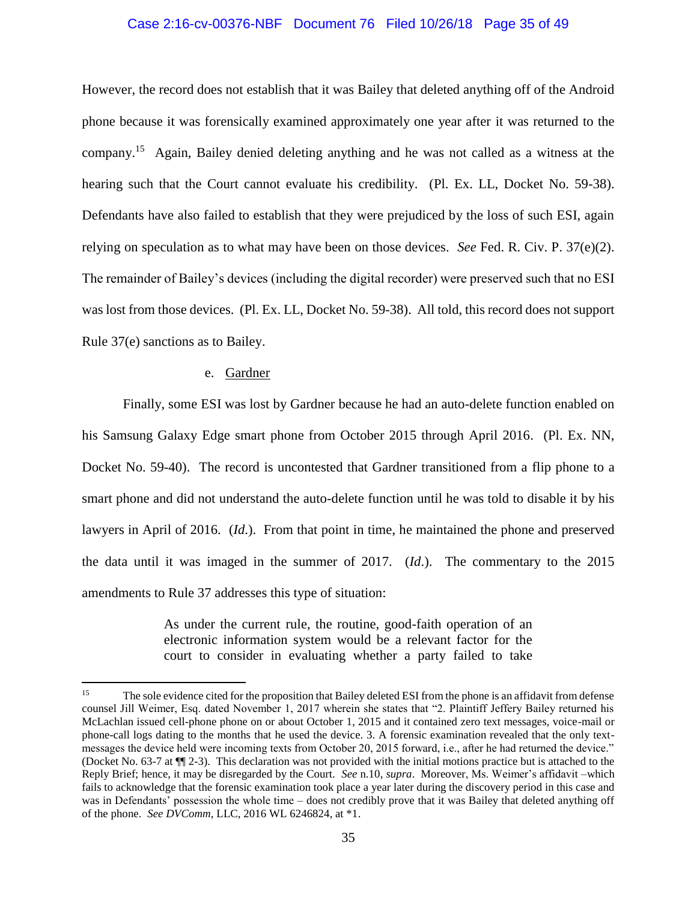## Case 2:16-cv-00376-NBF Document 76 Filed 10/26/18 Page 35 of 49

However, the record does not establish that it was Bailey that deleted anything off of the Android phone because it was forensically examined approximately one year after it was returned to the company.<sup>15</sup> Again, Bailey denied deleting anything and he was not called as a witness at the hearing such that the Court cannot evaluate his credibility. (Pl. Ex. LL, Docket No. 59-38). Defendants have also failed to establish that they were prejudiced by the loss of such ESI, again relying on speculation as to what may have been on those devices. *See* Fed. R. Civ. P. 37(e)(2). The remainder of Bailey's devices (including the digital recorder) were preserved such that no ESI was lost from those devices. (Pl. Ex. LL, Docket No. 59-38). All told, this record does not support Rule 37(e) sanctions as to Bailey.

## e. Gardner

 $\overline{a}$ 

Finally, some ESI was lost by Gardner because he had an auto-delete function enabled on his Samsung Galaxy Edge smart phone from October 2015 through April 2016. (Pl. Ex. NN, Docket No. 59-40). The record is uncontested that Gardner transitioned from a flip phone to a smart phone and did not understand the auto-delete function until he was told to disable it by his lawyers in April of 2016. (*Id*.). From that point in time, he maintained the phone and preserved the data until it was imaged in the summer of 2017. (*Id*.). The commentary to the 2015 amendments to Rule 37 addresses this type of situation:

> As under the current rule, the routine, good-faith operation of an electronic information system would be a relevant factor for the court to consider in evaluating whether a party failed to take

<sup>&</sup>lt;sup>15</sup> The sole evidence cited for the proposition that Bailey deleted ESI from the phone is an affidavit from defense counsel Jill Weimer, Esq. dated November 1, 2017 wherein she states that "2. Plaintiff Jeffery Bailey returned his McLachlan issued cell-phone phone on or about October 1, 2015 and it contained zero text messages, voice-mail or phone-call logs dating to the months that he used the device. 3. A forensic examination revealed that the only textmessages the device held were incoming texts from October 20, 2015 forward, i.e., after he had returned the device." (Docket No. 63-7 at ¶¶ 2-3). This declaration was not provided with the initial motions practice but is attached to the Reply Brief; hence, it may be disregarded by the Court. *See* n.10, *supra*. Moreover, Ms. Weimer's affidavit –which fails to acknowledge that the forensic examination took place a year later during the discovery period in this case and was in Defendants' possession the whole time – does not credibly prove that it was Bailey that deleted anything off of the phone. *See DVComm*, LLC, 2016 WL 6246824, at \*1.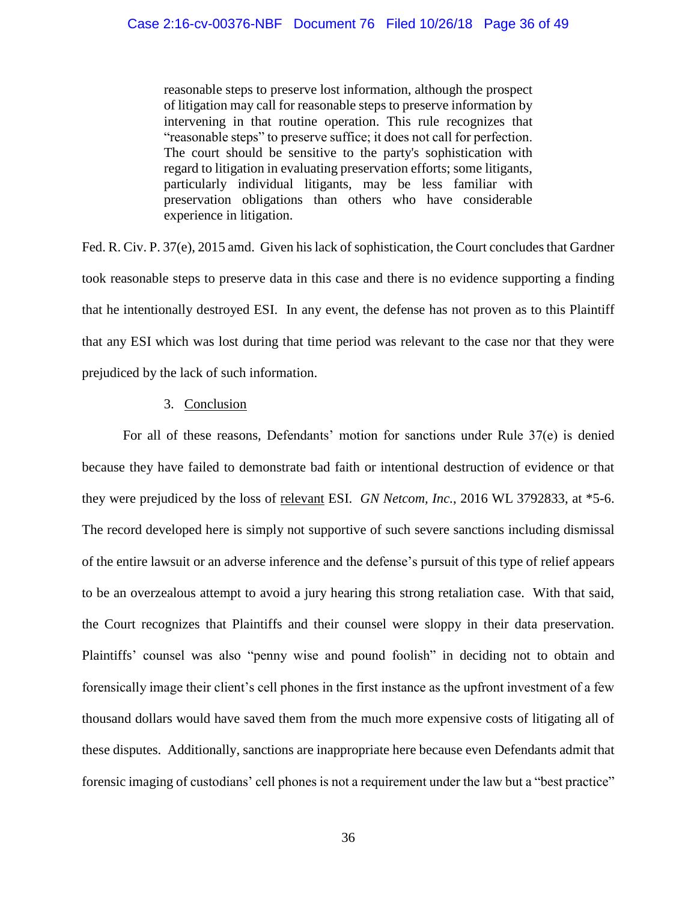reasonable steps to preserve lost information, although the prospect of litigation may call for reasonable steps to preserve information by intervening in that routine operation. This rule recognizes that "reasonable steps" to preserve suffice; it does not call for perfection. The court should be sensitive to the party's sophistication with regard to litigation in evaluating preservation efforts; some litigants, particularly individual litigants, may be less familiar with preservation obligations than others who have considerable experience in litigation.

Fed. R. Civ. P. 37(e), 2015 amd. Given his lack of sophistication, the Court concludes that Gardner took reasonable steps to preserve data in this case and there is no evidence supporting a finding that he intentionally destroyed ESI. In any event, the defense has not proven as to this Plaintiff that any ESI which was lost during that time period was relevant to the case nor that they were prejudiced by the lack of such information.

## 3. Conclusion

For all of these reasons, Defendants' motion for sanctions under Rule 37(e) is denied because they have failed to demonstrate bad faith or intentional destruction of evidence or that they were prejudiced by the loss of relevant ESI. *GN Netcom, Inc.*, 2016 WL 3792833, at \*5-6. The record developed here is simply not supportive of such severe sanctions including dismissal of the entire lawsuit or an adverse inference and the defense's pursuit of this type of relief appears to be an overzealous attempt to avoid a jury hearing this strong retaliation case. With that said, the Court recognizes that Plaintiffs and their counsel were sloppy in their data preservation. Plaintiffs' counsel was also "penny wise and pound foolish" in deciding not to obtain and forensically image their client's cell phones in the first instance as the upfront investment of a few thousand dollars would have saved them from the much more expensive costs of litigating all of these disputes. Additionally, sanctions are inappropriate here because even Defendants admit that forensic imaging of custodians' cell phones is not a requirement under the law but a "best practice"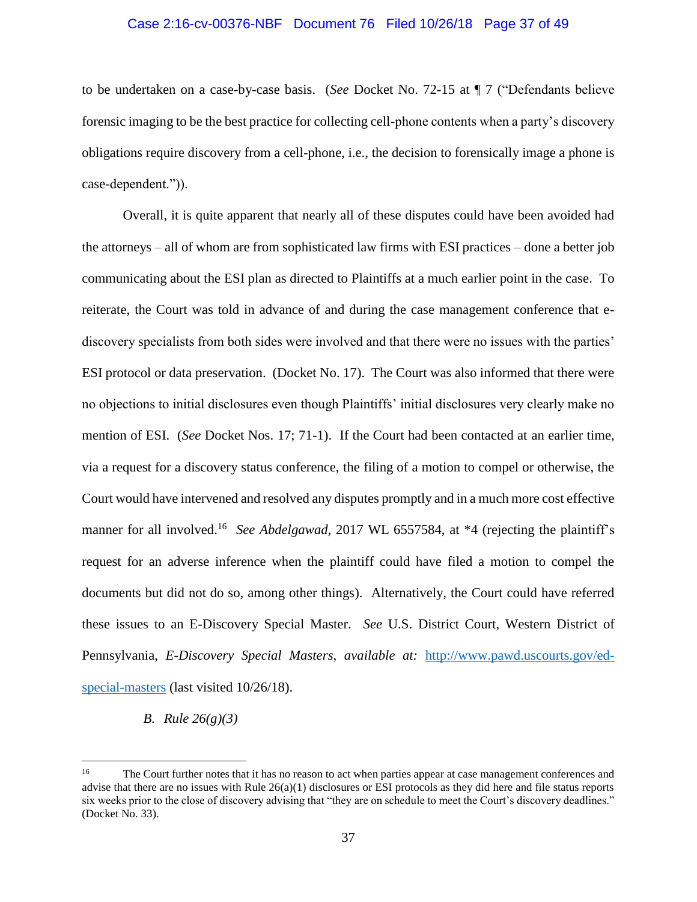# Case 2:16-cv-00376-NBF Document 76 Filed 10/26/18 Page 37 of 49

to be undertaken on a case-by-case basis. (*See* Docket No. 72-15 at ¶ 7 ("Defendants believe forensic imaging to be the best practice for collecting cell-phone contents when a party's discovery obligations require discovery from a cell-phone, i.e., the decision to forensically image a phone is case-dependent.")).

Overall, it is quite apparent that nearly all of these disputes could have been avoided had the attorneys – all of whom are from sophisticated law firms with ESI practices – done a better job communicating about the ESI plan as directed to Plaintiffs at a much earlier point in the case. To reiterate, the Court was told in advance of and during the case management conference that ediscovery specialists from both sides were involved and that there were no issues with the parties' ESI protocol or data preservation. (Docket No. 17). The Court was also informed that there were no objections to initial disclosures even though Plaintiffs' initial disclosures very clearly make no mention of ESI. (*See* Docket Nos. 17; 71-1). If the Court had been contacted at an earlier time, via a request for a discovery status conference, the filing of a motion to compel or otherwise, the Court would have intervened and resolved any disputes promptly and in a much more cost effective manner for all involved.<sup>16</sup> See Abdelgawad, 2017 WL 6557584, at \*4 (rejecting the plaintiff's request for an adverse inference when the plaintiff could have filed a motion to compel the documents but did not do so, among other things). Alternatively, the Court could have referred these issues to an E-Discovery Special Master. *See* U.S. District Court, Western District of Pennsylvania, *E-Discovery Special Masters*, *available at:* http://www.pawd.uscourts.gov/edspecial-masters (last visited 10/26/18).

## *B. Rule 26(g)(3)*

<sup>&</sup>lt;sup>16</sup> The Court further notes that it has no reason to act when parties appear at case management conferences and advise that there are no issues with Rule 26(a)(1) disclosures or ESI protocols as they did here and file status reports six weeks prior to the close of discovery advising that "they are on schedule to meet the Court's discovery deadlines." (Docket No. 33).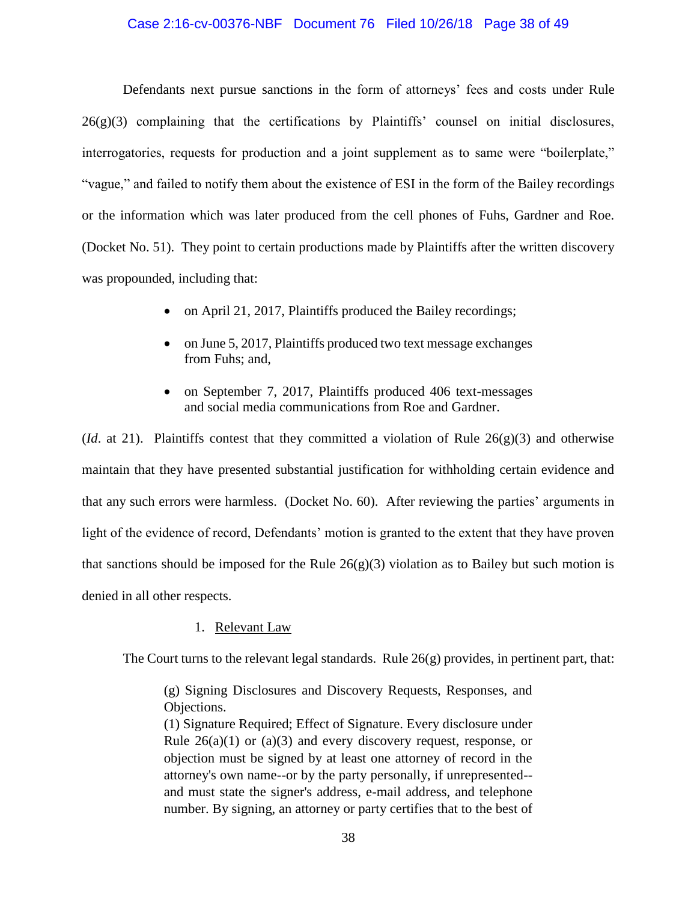### Case 2:16-cv-00376-NBF Document 76 Filed 10/26/18 Page 38 of 49

Defendants next pursue sanctions in the form of attorneys' fees and costs under Rule  $26(g)(3)$  complaining that the certifications by Plaintiffs' counsel on initial disclosures, interrogatories, requests for production and a joint supplement as to same were "boilerplate," "vague," and failed to notify them about the existence of ESI in the form of the Bailey recordings or the information which was later produced from the cell phones of Fuhs, Gardner and Roe. (Docket No. 51). They point to certain productions made by Plaintiffs after the written discovery was propounded, including that:

- on April 21, 2017, Plaintiffs produced the Bailey recordings;
- on June 5, 2017, Plaintiffs produced two text message exchanges from Fuhs; and,
- on September 7, 2017, Plaintiffs produced 406 text-messages and social media communications from Roe and Gardner.

(*Id.* at 21). Plaintiffs contest that they committed a violation of Rule  $26(g)(3)$  and otherwise maintain that they have presented substantial justification for withholding certain evidence and that any such errors were harmless. (Docket No. 60). After reviewing the parties' arguments in light of the evidence of record, Defendants' motion is granted to the extent that they have proven that sanctions should be imposed for the Rule  $26(g)(3)$  violation as to Bailey but such motion is denied in all other respects.

## 1. Relevant Law

The Court turns to the relevant legal standards. Rule  $26(g)$  provides, in pertinent part, that:

(g) Signing Disclosures and Discovery Requests, Responses, and Objections.

(1) Signature Required; Effect of Signature. Every disclosure under Rule  $26(a)(1)$  or  $(a)(3)$  and every discovery request, response, or objection must be signed by at least one attorney of record in the attorney's own name--or by the party personally, if unrepresented- and must state the signer's address, e-mail address, and telephone number. By signing, an attorney or party certifies that to the best of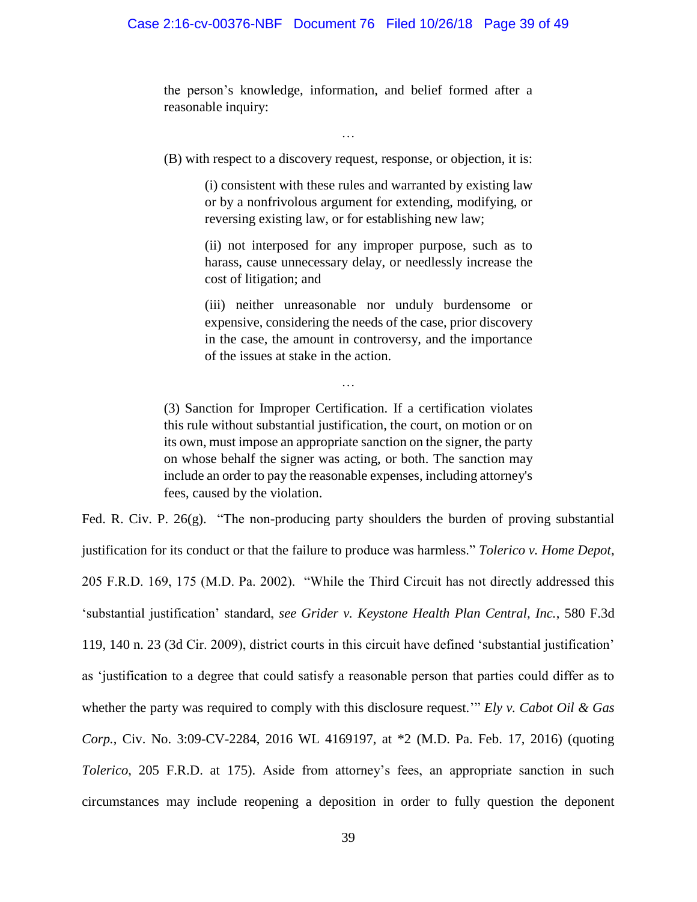the person's knowledge, information, and belief formed after a reasonable inquiry:

…

(B) with respect to a discovery request, response, or objection, it is:

(i) consistent with these rules and warranted by existing law or by a nonfrivolous argument for extending, modifying, or reversing existing law, or for establishing new law;

(ii) not interposed for any improper purpose, such as to harass, cause unnecessary delay, or needlessly increase the cost of litigation; and

(iii) neither unreasonable nor unduly burdensome or expensive, considering the needs of the case, prior discovery in the case, the amount in controversy, and the importance of the issues at stake in the action.

(3) Sanction for Improper Certification. If a certification violates this rule without substantial justification, the court, on motion or on its own, must impose an appropriate sanction on the signer, the party on whose behalf the signer was acting, or both. The sanction may include an order to pay the reasonable expenses, including attorney's fees, caused by the violation.

…

Fed. R. Civ. P. 26(g). "The non-producing party shoulders the burden of proving substantial justification for its conduct or that the failure to produce was harmless." *Tolerico v. Home Depot*, 205 F.R.D. 169, 175 (M.D. Pa. 2002). "While the Third Circuit has not directly addressed this 'substantial justification' standard, *see Grider v. Keystone Health Plan Central, Inc.*, 580 F.3d 119, 140 n. 23 (3d Cir. 2009), district courts in this circuit have defined 'substantial justification' as 'justification to a degree that could satisfy a reasonable person that parties could differ as to whether the party was required to comply with this disclosure request.'" *Ely v. Cabot Oil & Gas Corp.*, Civ. No. 3:09-CV-2284, 2016 WL 4169197, at \*2 (M.D. Pa. Feb. 17, 2016) (quoting *Tolerico*, 205 F.R.D. at 175). Aside from attorney's fees, an appropriate sanction in such circumstances may include reopening a deposition in order to fully question the deponent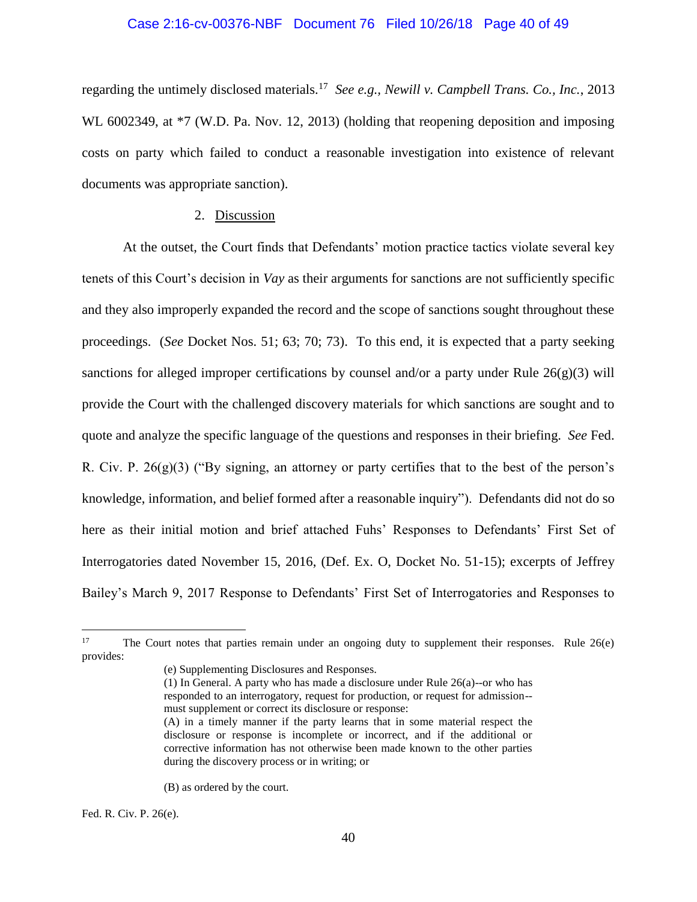#### Case 2:16-cv-00376-NBF Document 76 Filed 10/26/18 Page 40 of 49

regarding the untimely disclosed materials.<sup>17</sup> *See e.g., Newill v. Campbell Trans. Co., Inc.*, 2013 WL 6002349, at  $*7$  (W.D. Pa. Nov. 12, 2013) (holding that reopening deposition and imposing costs on party which failed to conduct a reasonable investigation into existence of relevant documents was appropriate sanction).

### 2. Discussion

At the outset, the Court finds that Defendants' motion practice tactics violate several key tenets of this Court's decision in *Vay* as their arguments for sanctions are not sufficiently specific and they also improperly expanded the record and the scope of sanctions sought throughout these proceedings. (*See* Docket Nos. 51; 63; 70; 73). To this end, it is expected that a party seeking sanctions for alleged improper certifications by counsel and/or a party under Rule  $26(g)(3)$  will provide the Court with the challenged discovery materials for which sanctions are sought and to quote and analyze the specific language of the questions and responses in their briefing. *See* Fed. R. Civ. P. 26(g)(3) ("By signing, an attorney or party certifies that to the best of the person's knowledge, information, and belief formed after a reasonable inquiry"). Defendants did not do so here as their initial motion and brief attached Fuhs' Responses to Defendants' First Set of Interrogatories dated November 15, 2016, (Def. Ex. O, Docket No. 51-15); excerpts of Jeffrey Bailey's March 9, 2017 Response to Defendants' First Set of Interrogatories and Responses to

(B) as ordered by the court.

Fed. R. Civ. P. 26(e).

<sup>&</sup>lt;sup>17</sup> The Court notes that parties remain under an ongoing duty to supplement their responses. Rule  $26(e)$ provides:

<sup>(</sup>e) Supplementing Disclosures and Responses.

<sup>(1)</sup> In General. A party who has made a disclosure under Rule 26(a)--or who has responded to an interrogatory, request for production, or request for admission- must supplement or correct its disclosure or response:

<sup>(</sup>A) in a timely manner if the party learns that in some material respect the disclosure or response is incomplete or incorrect, and if the additional or corrective information has not otherwise been made known to the other parties during the discovery process or in writing; or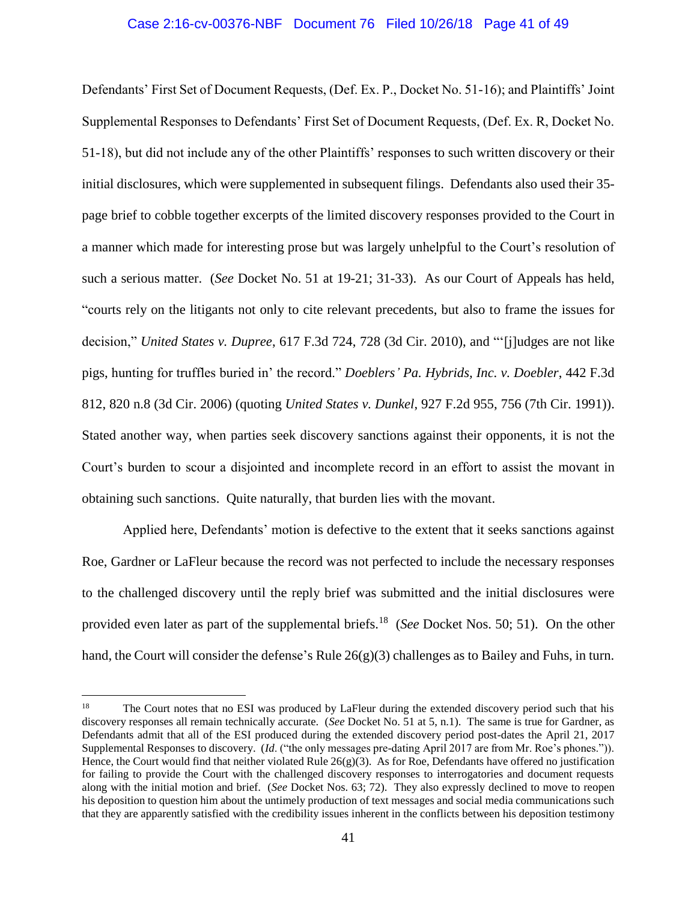## Case 2:16-cv-00376-NBF Document 76 Filed 10/26/18 Page 41 of 49

Defendants' First Set of Document Requests, (Def. Ex. P., Docket No. 51-16); and Plaintiffs' Joint Supplemental Responses to Defendants' First Set of Document Requests, (Def. Ex. R, Docket No. 51-18), but did not include any of the other Plaintiffs' responses to such written discovery or their initial disclosures, which were supplemented in subsequent filings. Defendants also used their 35 page brief to cobble together excerpts of the limited discovery responses provided to the Court in a manner which made for interesting prose but was largely unhelpful to the Court's resolution of such a serious matter. (*See* Docket No. 51 at 19-21; 31-33). As our Court of Appeals has held, "courts rely on the litigants not only to cite relevant precedents, but also to frame the issues for decision," *United States v. Dupree*, 617 F.3d 724, 728 (3d Cir. 2010), and "'[j]udges are not like pigs, hunting for truffles buried in' the record." *Doeblers' Pa. Hybrids, Inc. v. Doebler*, 442 F.3d 812, 820 n.8 (3d Cir. 2006) (quoting *United States v. Dunkel*, 927 F.2d 955, 756 (7th Cir. 1991)). Stated another way, when parties seek discovery sanctions against their opponents, it is not the Court's burden to scour a disjointed and incomplete record in an effort to assist the movant in obtaining such sanctions. Quite naturally, that burden lies with the movant.

Applied here, Defendants' motion is defective to the extent that it seeks sanctions against Roe, Gardner or LaFleur because the record was not perfected to include the necessary responses to the challenged discovery until the reply brief was submitted and the initial disclosures were provided even later as part of the supplemental briefs.<sup>18</sup> (*See* Docket Nos. 50; 51). On the other hand, the Court will consider the defense's Rule  $26(g)(3)$  challenges as to Bailey and Fuhs, in turn.

<sup>&</sup>lt;sup>18</sup> The Court notes that no ESI was produced by LaFleur during the extended discovery period such that his discovery responses all remain technically accurate. (*See* Docket No. 51 at 5, n.1). The same is true for Gardner, as Defendants admit that all of the ESI produced during the extended discovery period post-dates the April 21, 2017 Supplemental Responses to discovery. (*Id*. ("the only messages pre-dating April 2017 are from Mr. Roe's phones.")). Hence, the Court would find that neither violated Rule  $26(g)(3)$ . As for Roe, Defendants have offered no justification for failing to provide the Court with the challenged discovery responses to interrogatories and document requests along with the initial motion and brief. (*See* Docket Nos. 63; 72). They also expressly declined to move to reopen his deposition to question him about the untimely production of text messages and social media communications such that they are apparently satisfied with the credibility issues inherent in the conflicts between his deposition testimony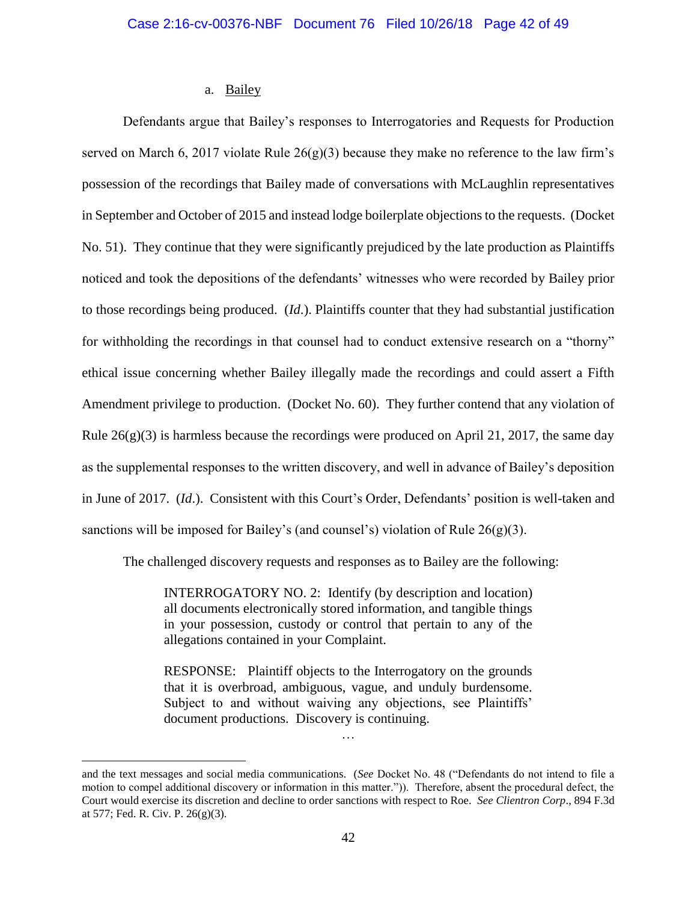## a. Bailey

Defendants argue that Bailey's responses to Interrogatories and Requests for Production served on March 6, 2017 violate Rule  $26(g)(3)$  because they make no reference to the law firm's possession of the recordings that Bailey made of conversations with McLaughlin representatives in September and October of 2015 and instead lodge boilerplate objections to the requests. (Docket No. 51). They continue that they were significantly prejudiced by the late production as Plaintiffs noticed and took the depositions of the defendants' witnesses who were recorded by Bailey prior to those recordings being produced. (*Id*.). Plaintiffs counter that they had substantial justification for withholding the recordings in that counsel had to conduct extensive research on a "thorny" ethical issue concerning whether Bailey illegally made the recordings and could assert a Fifth Amendment privilege to production. (Docket No. 60). They further contend that any violation of Rule  $26(g)(3)$  is harmless because the recordings were produced on April 21, 2017, the same day as the supplemental responses to the written discovery, and well in advance of Bailey's deposition in June of 2017. (*Id*.). Consistent with this Court's Order, Defendants' position is well-taken and sanctions will be imposed for Bailey's (and counsel's) violation of Rule 26(g)(3).

The challenged discovery requests and responses as to Bailey are the following:

INTERROGATORY NO. 2: Identify (by description and location) all documents electronically stored information, and tangible things in your possession, custody or control that pertain to any of the allegations contained in your Complaint.

RESPONSE: Plaintiff objects to the Interrogatory on the grounds that it is overbroad, ambiguous, vague, and unduly burdensome. Subject to and without waiving any objections, see Plaintiffs' document productions. Discovery is continuing.

…

and the text messages and social media communications. (*See* Docket No. 48 ("Defendants do not intend to file a motion to compel additional discovery or information in this matter.")). Therefore, absent the procedural defect, the Court would exercise its discretion and decline to order sanctions with respect to Roe. *See Clientron Corp*., 894 F.3d at 577; Fed. R. Civ. P. 26(g)(3).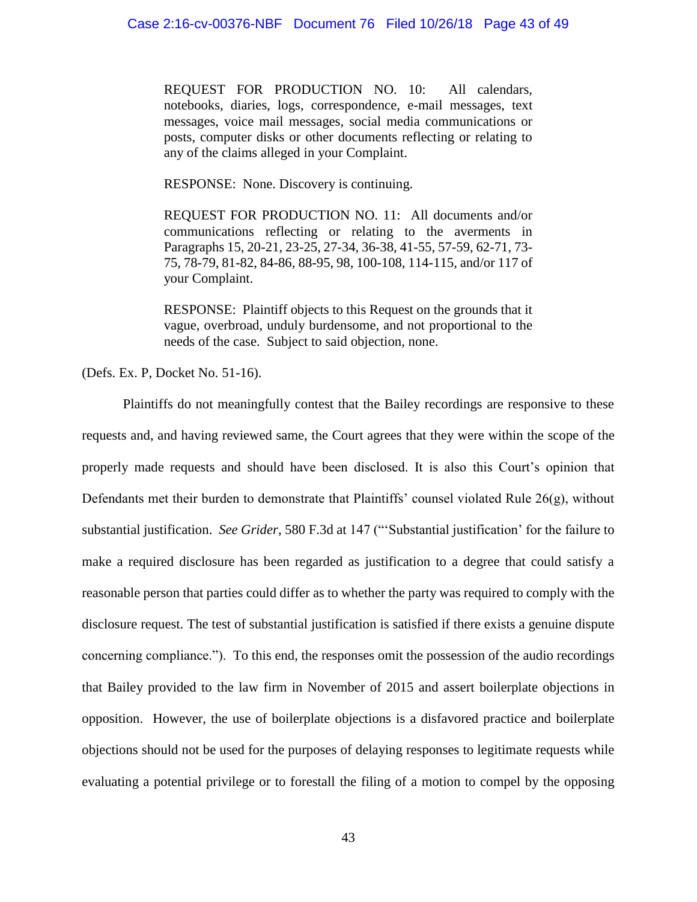REQUEST FOR PRODUCTION NO. 10: All calendars, notebooks, diaries, logs, correspondence, e-mail messages, text messages, voice mail messages, social media communications or posts, computer disks or other documents reflecting or relating to any of the claims alleged in your Complaint.

RESPONSE: None. Discovery is continuing.

REQUEST FOR PRODUCTION NO. 11: All documents and/or communications reflecting or relating to the averments in Paragraphs 15, 20-21, 23-25, 27-34, 36-38, 41-55, 57-59, 62-71, 73- 75, 78-79, 81-82, 84-86, 88-95, 98, 100-108, 114-115, and/or 117 of your Complaint.

RESPONSE: Plaintiff objects to this Request on the grounds that it vague, overbroad, unduly burdensome, and not proportional to the needs of the case. Subject to said objection, none.

(Defs. Ex. P, Docket No. 51-16).

Plaintiffs do not meaningfully contest that the Bailey recordings are responsive to these requests and, and having reviewed same, the Court agrees that they were within the scope of the properly made requests and should have been disclosed. It is also this Court's opinion that Defendants met their burden to demonstrate that Plaintiffs' counsel violated Rule 26(g), without substantial justification. *See Grider*, 580 F.3d at 147 ("'Substantial justification' for the failure to make a required disclosure has been regarded as justification to a degree that could satisfy a reasonable person that parties could differ as to whether the party was required to comply with the disclosure request. The test of substantial justification is satisfied if there exists a genuine dispute concerning compliance."). To this end, the responses omit the possession of the audio recordings that Bailey provided to the law firm in November of 2015 and assert boilerplate objections in opposition. However, the use of boilerplate objections is a disfavored practice and boilerplate objections should not be used for the purposes of delaying responses to legitimate requests while evaluating a potential privilege or to forestall the filing of a motion to compel by the opposing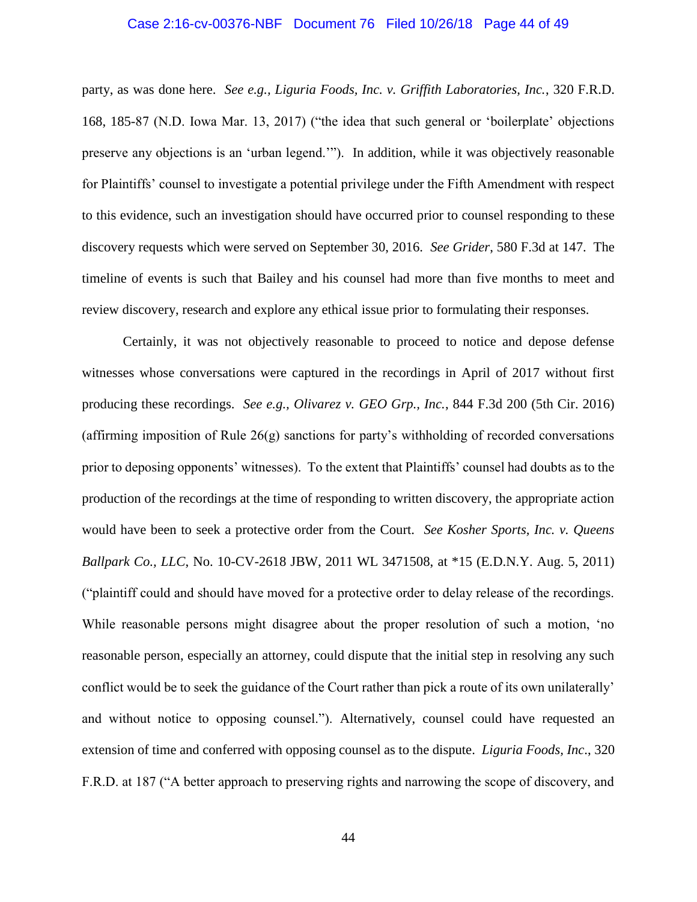### Case 2:16-cv-00376-NBF Document 76 Filed 10/26/18 Page 44 of 49

party, as was done here. *See e.g., Liguria Foods, Inc. v. Griffith Laboratories, Inc.*, 320 F.R.D. 168, 185-87 (N.D. Iowa Mar. 13, 2017) ("the idea that such general or 'boilerplate' objections preserve any objections is an 'urban legend.'"). In addition, while it was objectively reasonable for Plaintiffs' counsel to investigate a potential privilege under the Fifth Amendment with respect to this evidence, such an investigation should have occurred prior to counsel responding to these discovery requests which were served on September 30, 2016. *See Grider*, 580 F.3d at 147. The timeline of events is such that Bailey and his counsel had more than five months to meet and review discovery, research and explore any ethical issue prior to formulating their responses.

Certainly, it was not objectively reasonable to proceed to notice and depose defense witnesses whose conversations were captured in the recordings in April of 2017 without first producing these recordings. *See e.g., Olivarez v. GEO Grp., Inc.*, 844 F.3d 200 (5th Cir. 2016) (affirming imposition of Rule 26(g) sanctions for party's withholding of recorded conversations prior to deposing opponents' witnesses). To the extent that Plaintiffs' counsel had doubts as to the production of the recordings at the time of responding to written discovery, the appropriate action would have been to seek a protective order from the Court. *See Kosher Sports, Inc. v. Queens Ballpark Co., LLC*, No. 10-CV-2618 JBW, 2011 WL 3471508, at \*15 (E.D.N.Y. Aug. 5, 2011) ("plaintiff could and should have moved for a protective order to delay release of the recordings. While reasonable persons might disagree about the proper resolution of such a motion, 'no reasonable person, especially an attorney, could dispute that the initial step in resolving any such conflict would be to seek the guidance of the Court rather than pick a route of its own unilaterally' and without notice to opposing counsel."). Alternatively, counsel could have requested an extension of time and conferred with opposing counsel as to the dispute. *Liguria Foods, Inc*., 320 F.R.D. at 187 ("A better approach to preserving rights and narrowing the scope of discovery, and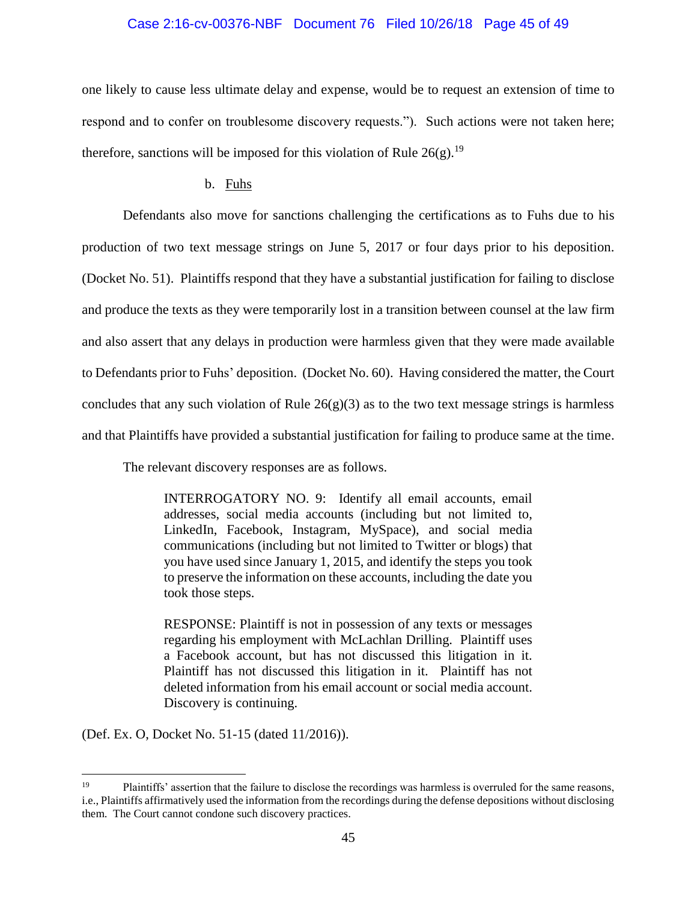## Case 2:16-cv-00376-NBF Document 76 Filed 10/26/18 Page 45 of 49

one likely to cause less ultimate delay and expense, would be to request an extension of time to respond and to confer on troublesome discovery requests."). Such actions were not taken here; therefore, sanctions will be imposed for this violation of Rule  $26(g)$ .<sup>19</sup>

## b. Fuhs

Defendants also move for sanctions challenging the certifications as to Fuhs due to his production of two text message strings on June 5, 2017 or four days prior to his deposition. (Docket No. 51). Plaintiffs respond that they have a substantial justification for failing to disclose and produce the texts as they were temporarily lost in a transition between counsel at the law firm and also assert that any delays in production were harmless given that they were made available to Defendants prior to Fuhs' deposition. (Docket No. 60). Having considered the matter, the Court concludes that any such violation of Rule  $26(g)(3)$  as to the two text message strings is harmless and that Plaintiffs have provided a substantial justification for failing to produce same at the time.

The relevant discovery responses are as follows.

INTERROGATORY NO. 9: Identify all email accounts, email addresses, social media accounts (including but not limited to, LinkedIn, Facebook, Instagram, MySpace), and social media communications (including but not limited to Twitter or blogs) that you have used since January 1, 2015, and identify the steps you took to preserve the information on these accounts, including the date you took those steps.

RESPONSE: Plaintiff is not in possession of any texts or messages regarding his employment with McLachlan Drilling. Plaintiff uses a Facebook account, but has not discussed this litigation in it. Plaintiff has not discussed this litigation in it. Plaintiff has not deleted information from his email account or social media account. Discovery is continuing.

(Def. Ex. O, Docket No. 51-15 (dated 11/2016)).

<sup>&</sup>lt;sup>19</sup> Plaintiffs' assertion that the failure to disclose the recordings was harmless is overruled for the same reasons, i.e., Plaintiffs affirmatively used the information from the recordings during the defense depositions without disclosing them. The Court cannot condone such discovery practices.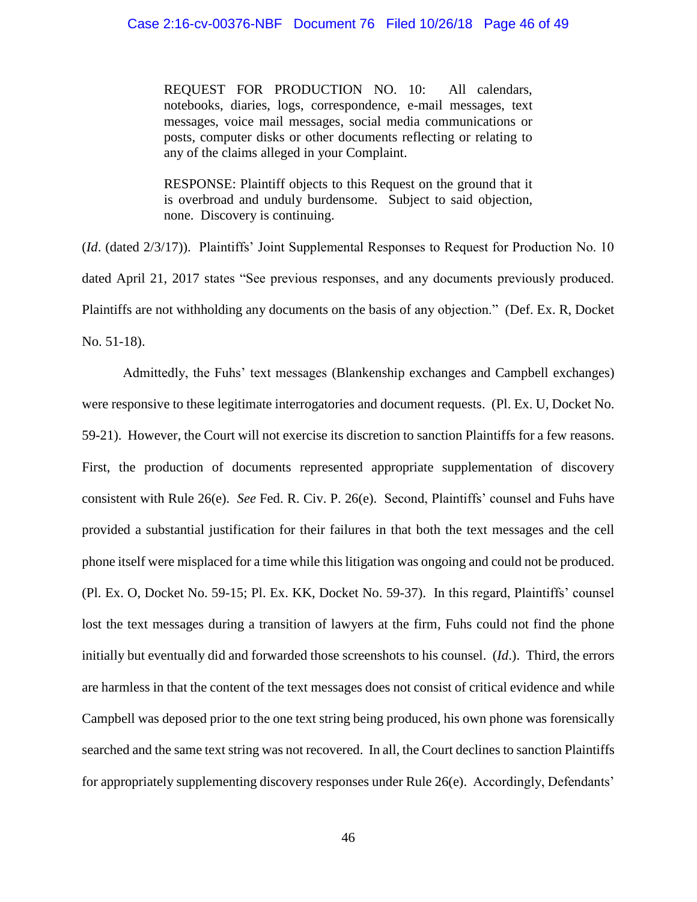REQUEST FOR PRODUCTION NO. 10: All calendars, notebooks, diaries, logs, correspondence, e-mail messages, text messages, voice mail messages, social media communications or posts, computer disks or other documents reflecting or relating to any of the claims alleged in your Complaint.

RESPONSE: Plaintiff objects to this Request on the ground that it is overbroad and unduly burdensome. Subject to said objection, none. Discovery is continuing.

(*Id*. (dated 2/3/17)). Plaintiffs' Joint Supplemental Responses to Request for Production No. 10 dated April 21, 2017 states "See previous responses, and any documents previously produced. Plaintiffs are not withholding any documents on the basis of any objection." (Def. Ex. R, Docket No. 51-18).

Admittedly, the Fuhs' text messages (Blankenship exchanges and Campbell exchanges) were responsive to these legitimate interrogatories and document requests. (Pl. Ex. U, Docket No. 59-21). However, the Court will not exercise its discretion to sanction Plaintiffs for a few reasons. First, the production of documents represented appropriate supplementation of discovery consistent with Rule 26(e). *See* Fed. R. Civ. P. 26(e). Second, Plaintiffs' counsel and Fuhs have provided a substantial justification for their failures in that both the text messages and the cell phone itself were misplaced for a time while this litigation was ongoing and could not be produced. (Pl. Ex. O, Docket No. 59-15; Pl. Ex. KK, Docket No. 59-37). In this regard, Plaintiffs' counsel lost the text messages during a transition of lawyers at the firm, Fuhs could not find the phone initially but eventually did and forwarded those screenshots to his counsel. (*Id*.). Third, the errors are harmless in that the content of the text messages does not consist of critical evidence and while Campbell was deposed prior to the one text string being produced, his own phone was forensically searched and the same text string was not recovered. In all, the Court declines to sanction Plaintiffs for appropriately supplementing discovery responses under Rule 26(e). Accordingly, Defendants'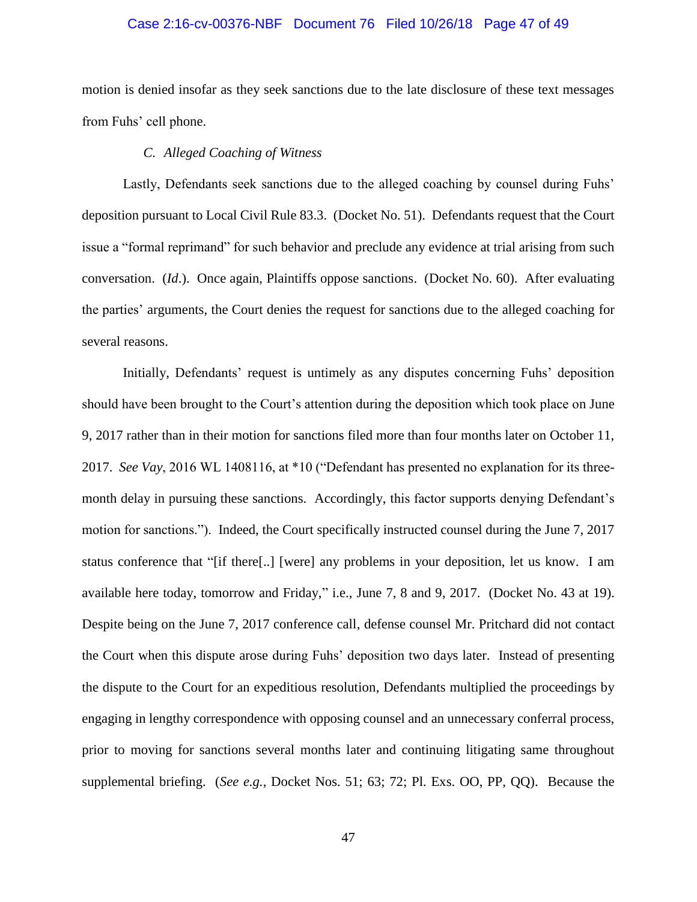# Case 2:16-cv-00376-NBF Document 76 Filed 10/26/18 Page 47 of 49

motion is denied insofar as they seek sanctions due to the late disclosure of these text messages from Fuhs' cell phone.

## *C. Alleged Coaching of Witness*

Lastly, Defendants seek sanctions due to the alleged coaching by counsel during Fuhs' deposition pursuant to Local Civil Rule 83.3. (Docket No. 51). Defendants request that the Court issue a "formal reprimand" for such behavior and preclude any evidence at trial arising from such conversation. (*Id*.). Once again, Plaintiffs oppose sanctions. (Docket No. 60). After evaluating the parties' arguments, the Court denies the request for sanctions due to the alleged coaching for several reasons.

Initially, Defendants' request is untimely as any disputes concerning Fuhs' deposition should have been brought to the Court's attention during the deposition which took place on June 9, 2017 rather than in their motion for sanctions filed more than four months later on October 11, 2017. *See Vay*, 2016 WL 1408116, at \*10 ("Defendant has presented no explanation for its threemonth delay in pursuing these sanctions. Accordingly, this factor supports denying Defendant's motion for sanctions."). Indeed, the Court specifically instructed counsel during the June 7, 2017 status conference that "[if there[..] [were] any problems in your deposition, let us know. I am available here today, tomorrow and Friday," i.e., June 7, 8 and 9, 2017. (Docket No. 43 at 19). Despite being on the June 7, 2017 conference call, defense counsel Mr. Pritchard did not contact the Court when this dispute arose during Fuhs' deposition two days later. Instead of presenting the dispute to the Court for an expeditious resolution, Defendants multiplied the proceedings by engaging in lengthy correspondence with opposing counsel and an unnecessary conferral process, prior to moving for sanctions several months later and continuing litigating same throughout supplemental briefing. (*See e.g.*, Docket Nos. 51; 63; 72; Pl. Exs. OO, PP, QQ). Because the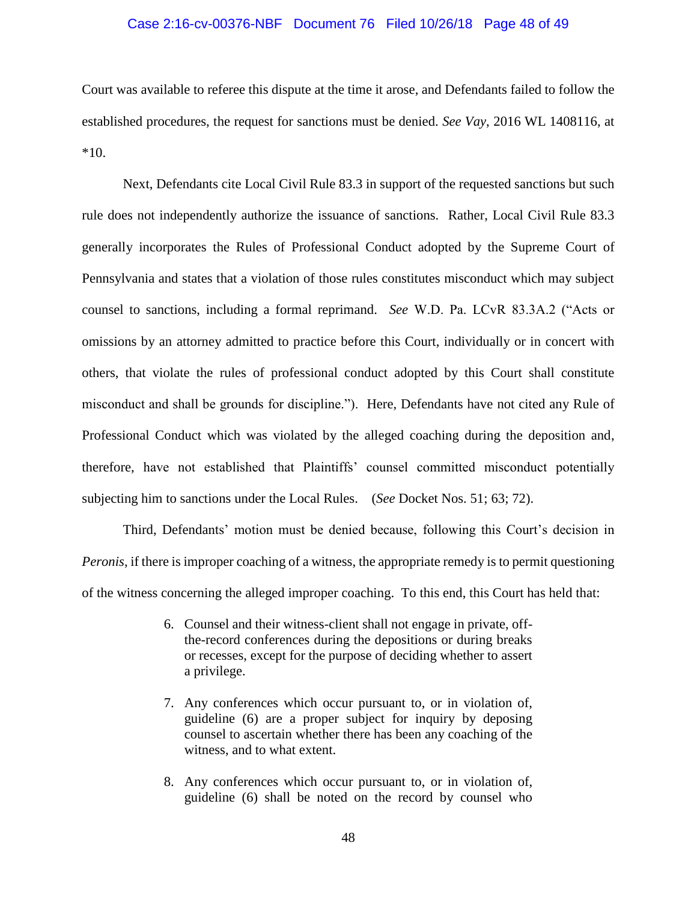## Case 2:16-cv-00376-NBF Document 76 Filed 10/26/18 Page 48 of 49

Court was available to referee this dispute at the time it arose, and Defendants failed to follow the established procedures, the request for sanctions must be denied. *See Vay*, 2016 WL 1408116, at \*10.

Next, Defendants cite Local Civil Rule 83.3 in support of the requested sanctions but such rule does not independently authorize the issuance of sanctions. Rather, Local Civil Rule 83.3 generally incorporates the Rules of Professional Conduct adopted by the Supreme Court of Pennsylvania and states that a violation of those rules constitutes misconduct which may subject counsel to sanctions, including a formal reprimand. *See* W.D. Pa. LCvR 83.3A.2 ("Acts or omissions by an attorney admitted to practice before this Court, individually or in concert with others, that violate the rules of professional conduct adopted by this Court shall constitute misconduct and shall be grounds for discipline."). Here, Defendants have not cited any Rule of Professional Conduct which was violated by the alleged coaching during the deposition and, therefore, have not established that Plaintiffs' counsel committed misconduct potentially subjecting him to sanctions under the Local Rules. (*See* Docket Nos. 51; 63; 72).

Third, Defendants' motion must be denied because, following this Court's decision in *Peronis*, if there is improper coaching of a witness, the appropriate remedy is to permit questioning of the witness concerning the alleged improper coaching. To this end, this Court has held that:

- 6. Counsel and their witness-client shall not engage in private, offthe-record conferences during the depositions or during breaks or recesses, except for the purpose of deciding whether to assert a privilege.
- 7. Any conferences which occur pursuant to, or in violation of, guideline (6) are a proper subject for inquiry by deposing counsel to ascertain whether there has been any coaching of the witness, and to what extent.
- 8. Any conferences which occur pursuant to, or in violation of, guideline (6) shall be noted on the record by counsel who